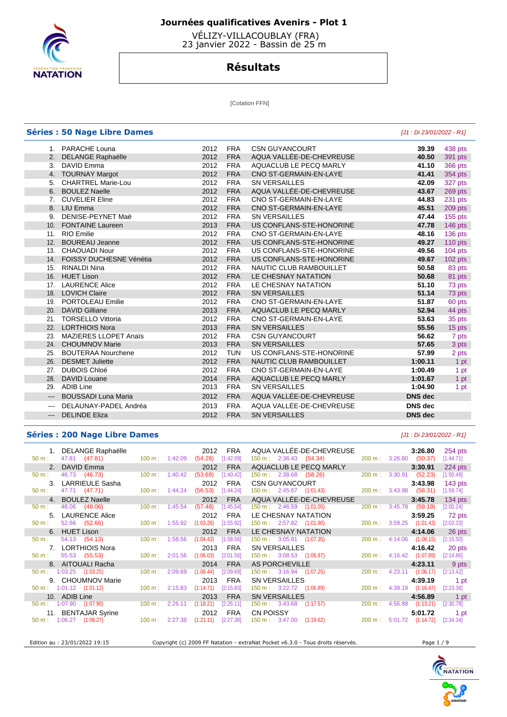

 VÉLIZY-VILLACOUBLAY (FRA) 23 janvier 2022 - Bassin de 25 m

# **Résultats**

[Cotation FFN]

|                     | <b>Séries : 50 Nage Libre Dames</b> |      |            |                          | [J1 : Di 23/01/2022 - R1] |                |
|---------------------|-------------------------------------|------|------------|--------------------------|---------------------------|----------------|
|                     | 1. PARACHE Louna                    | 2012 | <b>FRA</b> | <b>CSN GUYANCOURT</b>    | 39.39                     | 438 pts        |
|                     | 2. DELANGE Raphaëlle                | 2012 | <b>FRA</b> | AQUA VALLÉE-DE-CHEVREUSE | 40.50                     | 391 pts        |
| 3.                  | DAVID Emma                          | 2012 | <b>FRA</b> | AQUACLUB LE PECQ MARLY   | 41.10                     | 366 pts        |
| 4.                  | <b>TOURNAY Margot</b>               | 2012 | <b>FRA</b> | CNO ST-GERMAIN-EN-LAYE   | 41.41                     | 354 pts        |
| 5.                  | <b>CHARTREL Marie-Lou</b>           | 2012 | <b>FRA</b> | <b>SN VERSAILLES</b>     | 42.09                     | 327 pts        |
| 6.                  | <b>BOULEZ Naelle</b>                | 2012 | <b>FRA</b> | AQUA VALLÉE-DE-CHEVREUSE | 43.67                     | 269 pts        |
| 7.                  | <b>CUVELIER Eline</b>               | 2012 | <b>FRA</b> | CNO ST-GERMAIN-EN-LAYE   | 44.83                     | 231 pts        |
|                     | 8. LIU Emma                         | 2012 | <b>FRA</b> | CNO ST-GERMAIN-EN-LAYE   | 45.51                     | 209 pts        |
| 9.                  | DENISE-PEYNET Maë                   | 2012 | <b>FRA</b> | <b>SN VERSAILLES</b>     | 47.44                     | <b>155 pts</b> |
|                     | 10. FONTAINE Laureen                | 2013 | <b>FRA</b> | US CONFLANS-STE-HONORINE | 47.78                     | 146 pts        |
| 11.                 | <b>RIO Emilie</b>                   | 2012 | <b>FRA</b> | CNO ST-GERMAIN-EN-LAYE   | 48.16                     | 136 pts        |
| 12.                 | <b>BOUREAU Jeanne</b>               | 2012 | <b>FRA</b> | US CONFLANS-STE-HONORINE | 49.27                     | $110$ pts      |
| 13.                 | <b>CHAOUADI Nour</b>                | 2012 | <b>FRA</b> | US CONFLANS-STE-HONORINE | 49.56                     | 104 pts        |
|                     | 14. FOISSY DUCHESNE Vénétia         | 2012 | <b>FRA</b> | US CONFLANS-STE-HONORINE | 49.67                     | $102$ pts      |
| 15.                 | <b>RINALDI Nina</b>                 | 2012 | <b>FRA</b> | NAUTIC CLUB RAMBOUILLET  | 50.58                     | 83 pts         |
|                     | 16. HUET Lison                      | 2012 | <b>FRA</b> | LE CHESNAY NATATION      | 50.68                     | 81 pts         |
| 17.                 | <b>LAURENCE Alice</b>               | 2012 | <b>FRA</b> | LE CHESNAY NATATION      | 51.10                     | 73 pts         |
| 18.                 | <b>LOVICH Claire</b>                | 2012 | <b>FRA</b> | <b>SN VERSAILLES</b>     | 51.14                     | 73 pts         |
| 19.                 | PORTOLEAU Emilie                    | 2012 | <b>FRA</b> | CNO ST-GERMAIN-EN-LAYE   | 51.87                     | 60 pts         |
| 20.                 | <b>DAVID Gilliane</b>               | 2013 | <b>FRA</b> | AQUACLUB LE PECQ MARLY   | 52.94                     | 44 pts         |
| 21.                 | <b>TORSELLO Vittoria</b>            | 2012 | <b>FRA</b> | CNO ST-GERMAIN-EN-LAYE   | 53.63                     | 35 pts         |
| 22.                 | <b>LORTHIOIS Nora</b>               | 2013 | <b>FRA</b> | <b>SN VERSAILLES</b>     | 55.56                     | 15 pts         |
| 23.                 | <b>MAZIERES LLOPET Anaïs</b>        | 2012 | <b>FRA</b> | <b>CSN GUYANCOURT</b>    | 56.62                     | 7 pts          |
| 24.                 | <b>CHOUMNOV Marie</b>               | 2013 | <b>FRA</b> | <b>SN VERSAILLES</b>     | 57.65                     | 3 pts          |
| 25.                 | <b>BOUTERAA Nourchene</b>           | 2012 | <b>TUN</b> | US CONFLANS-STE-HONORINE | 57.99                     | 2 pts          |
|                     | 26. DESMET Juliette                 | 2012 | <b>FRA</b> | NAUTIC CLUB RAMBOUILLET  | 1:00.11                   | 1 pt           |
| 27.                 | <b>DUBOIS Chloé</b>                 | 2012 | <b>FRA</b> | CNO ST-GERMAIN-EN-LAYE   | 1:00.49                   | 1 pt           |
| 28.                 | <b>DAVID Louane</b>                 | 2014 | <b>FRA</b> | AQUACLUB LE PECQ MARLY   | 1:01.67                   | 1 pt           |
| 29.                 | <b>ADIB Line</b>                    | 2013 | <b>FRA</b> | <b>SN VERSAILLES</b>     | 1:04.90                   | 1 pt           |
| $---$               | <b>BOUSSADI Luna Maria</b>          | 2012 | <b>FRA</b> | AQUA VALLÉE-DE-CHEVREUSE | <b>DNS</b> dec            |                |
| $\cdots$            | DELAUNAY-PADEL Andréa               | 2013 | <b>FRA</b> | AQUA VALLÉE-DE-CHEVREUSE | <b>DNS</b> dec            |                |
| $\qquad \qquad - -$ | <b>DELINDE Eliza</b>                | 2012 | <b>FRA</b> | <b>SN VERSAILLES</b>     | <b>DNS</b> dec            |                |
|                     |                                     |      |            |                          |                           |                |

## **Séries : 200 Nage Libre Dames** [J1 : Di 23/01/2022 - R1]

| 50 m:            | 1. DELANGE Raphaëlle<br>47.81 (47.81)    |                          |                                      | 2012<br>100 m: 1:42.09 (54.28) [1:42.09] | FRA         | AQUA VALLÉE-DE-CHEVREUSE<br>150 m : 2:36.43 (54.34) | 3:26.80<br>200 m: 3:26.80 (50.37)  | 254 pts<br>[1:44.71] |
|------------------|------------------------------------------|--------------------------|--------------------------------------|------------------------------------------|-------------|-----------------------------------------------------|------------------------------------|----------------------|
|                  | 2. DAVID Emma                            |                          |                                      | 2012                                     | <b>FRA</b>  | AQUACLUB LE PECQ MARLY                              | 3:30.91                            | 224 pts              |
| 50 m:            | 46.73 (46.73)                            | $100 \text{ m}: 1:40.42$ |                                      | (53.69)                                  | [1:40.42]   | $150 \text{ m}: 2:38.68$ (58.26)                    | 200 m: 3:30.91 (52.23)             | [1:50.49]            |
|                  | 3. LARRIEULE Sasha                       |                          |                                      | 2012                                     | <b>FRA</b>  | CSN GUYANCOURT <b>EXAMPLE SERVER</b>                | 3:43.98                            | 143 pts              |
| 50 m:            | 47.71 (47.71)                            |                          | $100 \text{ m}: 1:44.24$             | (56.53)                                  | [1:44.24]   | 150 m : 2:45.67 (1:01.43)                           | 200 m: 3:43.98 (58.31)             | $[1:59.74]$          |
|                  | 4. BOULEZ Naelle                         |                          |                                      | 2012                                     | <b>FRA</b>  | AQUA VALLÉE-DE-CHEVREUSE                            | 3:45.78                            | $134$ pts            |
| $50 \text{ m}$ : | 48.06 (48.06)                            | $100 \text{ m}: 1:45.54$ |                                      | (57.48)                                  | [1:45.54]   | $150 \text{ m}: 2:46.59$ $(1:01.05)$                | 200 m : 3:45.78 (59.19)            | [2:00.24]            |
|                  | 5. LAURENCE Alice                        |                          |                                      | 2012                                     | <b>FRA</b>  | LE CHESNAY NATATION                                 | 3:59.25                            | 72 pts               |
| $50 \text{ m}$ : | 52.66 (52.66)                            |                          | $100 \text{ m}: 1:55.92$ $(1:03.26)$ |                                          | [1:55.92]   | 150 m: 2:57.82 (1:01.90)                            | 200 m: 3:59.25 (1:01.43)           | [2:03.33]            |
|                  | 6. HUET Lison                            |                          |                                      | 2012                                     | <b>FRA</b>  | LE CHESNAY NATATION                                 | 4:14.06                            | 26 pts               |
| $50 \text{ m}$ : | 54.13 (54.13)                            | 100 m: 1:58.56           |                                      | (1:04.43)                                | [1:58.56]   | $150 \text{ m}: 3:05.91$ $(1:07.35)$                | 200 m: 4:14.06 (1:08.15)           | [2:15.50]            |
|                  | 7. LORTHIOIS Nora                        |                          |                                      | 2013                                     | <b>FRA</b>  | <b>SN VERSAILLES</b>                                | 4:16.42                            | 20 pts               |
| 50 m:            | 55.53 (55.53)                            |                          | $100 \text{ m}: 2:01.56$ $(1:06.03)$ |                                          | $[2:01.56]$ | 150 m : 3:08.53 (1:06.97)                           | 200 m: 4:16.42 (1:07.89)           | [2:14.86]            |
|                  | 8. AITOUALI Racha                        |                          |                                      | 2014                                     | <b>FRA</b>  | AS PORCHEVILLE                                      | 4:23.11                            | 9 pts                |
|                  | $50 \text{ m}: 1:03.25$ $(1:03.25)$      | $100 \text{ m}: 2:09.69$ |                                      | (1:06.44)                                | [2:09.69]   | $150 \text{ m}: 3:16.94$ $(1:07.25)$                | 200 m: 4:23.11 (1:06.17)           | [2:13.42]            |
|                  | 9. CHOUMNOV Marie                        |                          |                                      | 2013                                     | <b>FRA</b>  | <b>SN VERSAILLES</b>                                | 4:39.19                            | 1 pt                 |
|                  | $50 \text{ m}: 1:01.12$ $(1:01.12)$      |                          | $100 \text{ m}: 2:15.83$ $(1:14.71)$ |                                          | [2:15.83]   | 150 m : 3:22.72 (1:06.89)                           | 200 m: 4:39.19 (1:16.47)           | [2:23.36]            |
|                  | 10. ADIB Line                            |                          |                                      | 2013                                     | <b>FRA</b>  | <b>SN VERSAILLES</b>                                | 4:56.89                            | 1 pt                 |
|                  | 50 m : 1:07.90 (1:07.90) 100 m : 2:26.11 |                          |                                      | (1:18.21)                                | [2:26.11]   | $150 \text{ m}: 3:43.68$ $(1:17.57)$                | $200 \text{ m}: 4:56.89$ (1:13.21) | [2:30.78]            |
|                  | 11. BENTAJAR Syrine                      |                          |                                      | 2012                                     | FRA         | CN POISSY                                           | 5:01.72                            | 1 pt                 |
|                  | $50 \text{ m}: 1:06.27$ $(1:06.27)$      |                          | $100 \text{ m}: 2:27.38$ $(1:21.11)$ |                                          | $[2:27.38]$ | 150 m : 3:47.00 (1:19.62)                           | 200 m: 5:01.72 (1:14.72)           | [2:34.34]            |
|                  |                                          |                          |                                      |                                          |             |                                                     |                                    |                      |

Edition au : 23/01/2022 19:15 Copyright (c) 2009 FF Natation - extraNat Pocket v6.3.0 - Tous droits réservés. Page 1 / 9

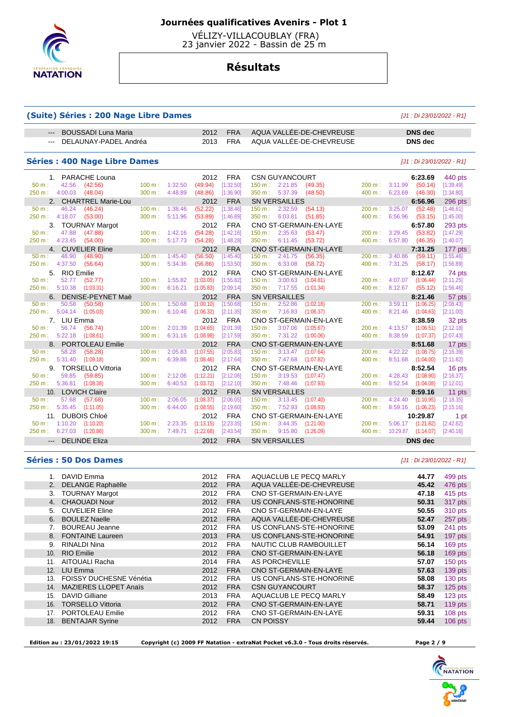

 VÉLIZY-VILLACOUBLAY (FRA) 23 janvier 2022 - Bassin de 25 m

# **Résultats**

### **(Suite) Séries : 200 Nage Libre Dames** [J1 : Di 23/01/2022 - R1]

| BOUSSADI Luna Maria<br>$  -$ | 2012 | <b>FRA</b> | AQUA VALLÉE-DE-CHEVREUSE | <b>DNS</b> dec |
|------------------------------|------|------------|--------------------------|----------------|
| --- DELAUNAY-PADEL Andréa    | 2013 | <b>FRA</b> | AQUA VALLÉE-DE-CHEVREUSE | DNS dec        |

### **Séries : 400 Nage Libre Dames** [J1 : Di 23/01/2022 - R1]

| 1. PARACHE Louna                                         |                             |         | 2012              | <b>FRA</b>              | <b>CSN GUYANCOURT</b>                     |                   | 6:23.69                          | 440 pts           |
|----------------------------------------------------------|-----------------------------|---------|-------------------|-------------------------|-------------------------------------------|-------------------|----------------------------------|-------------------|
| 42.56<br>$50 m$ :<br>(42.56)                             | $100 \text{ m}$ : 1:32.50   |         | (49.94)           | [1:32.50]               | 150 m: 2:21.85 (49.35)                    | $200 \text{ m}$ : | $3:11.99$ (50.14)                | [1:39.49]         |
| 4:00.03<br>250 m:<br>(48.04)                             | 300 m:                      | 4:48.89 | (48.86)           | [1:36.90]               | $350 \text{ m}: 5:37.39$<br>(48.50)       | 400 m:            | $6:23.69$ $(46.30)$              | [1:34.80]         |
| 2. CHARTREL Marie-Lou                                    |                             |         | 2012              | <b>FRA</b>              | <b>SN VERSAILLES</b>                      |                   | 6:56.96                          | 296 pts           |
| 46.24<br>$50 \text{ m}$ :<br>(46.24)                     | $100 \text{ m}$ :           | 1:38.46 | (52.22)           | [1:38.46]               | 2:32.59<br>(54.13)<br>$150 \text{ m}$ :   | 200 m:            | 3:25.07<br>(52.48)               | [1:46.61]         |
| 4:18.07<br>(53.00)<br>250 m:                             | 300 m:                      | 5:11.96 | (53.89)           | [1:46.89]               | 350 m: 6:03.81<br>(51.85)                 | 400 m:            | 6:56.96<br>(53.15)               | [1:45.00]         |
| <b>TOURNAY Margot</b>                                    |                             |         | 2012              | <b>FRA</b>              | CNO ST-GERMAIN-EN-LAYE                    |                   | 6:57.80                          | 293 pts           |
| $50 m$ :<br>47.88<br>(47.88)                             | 100 m:                      | 1:42.16 | (54.28)           | [1:42.16]               | 150 m: 2:35.63<br>(53.47)                 | 200 m:            | 3:29.45<br>(53.82)               | [1:47.29]         |
| 250 m: 4:23.45<br>(54.00)                                | 300 m:                      | 5:17.73 | (54.28)           | [1:48.28]               | 350 m:<br>6:11.45<br>(53.72)              | 400 m:            | $6:57.80$ (46.35)                | [1:40.07]         |
| 4. CUVELIER Eline                                        |                             |         | 2012              | <b>FRA</b>              | CNO ST-GERMAIN-EN-LAYE                    |                   | 7:31.25                          | 177 pts           |
| $50 m$ :<br>48.90<br>(48.90)                             | 100 m: 1:45.40              |         | (56.50)           | [1:45.40]               | 150 m: 2:41.75<br>(56.35)                 |                   | 200 m: 3:40.86 (59.11)           | [1:55.46]         |
| 250 m: 4:37.50<br>(56.64)                                | 300 m:                      | 5:34.36 | (56.86)           | [1:53.50]               | 350 m: 6:33.08<br>(58.72)                 | 400 m:            | 7:31.25 (58.17)                  | [1:56.89]         |
| 5 <sub>1</sub><br><b>RIO Emilie</b>                      |                             |         | 2012              | <b>FRA</b>              | CNO ST-GERMAIN-EN-LAYE                    |                   | 8:12.67                          | 74 pts            |
| $50 m$ :<br>52.77<br>(52.77)                             | $100 \text{ m}$ :           | 1:55.82 | (1:03.05)         | [1:55.82]               | $150 \text{ m}: 3:00.63$<br>(1:04.81)     | $200 \text{ m}$ : | 4:07.07<br>(1:06.44)             | [2:11.25]         |
| $5:10.38$ $(1:03.31)$<br>250 m:                          | 300 m:                      | 6:16.21 | (1:05.83)         | [2:09.14]               | 350 m: 7:17.55<br>(1:01.34)               | 400 m:            | 8:12.67<br>(55.12)               | [1:56.46]         |
| DENISE-PEYNET Maë                                        |                             |         | 2012              | <b>FRA</b>              | <b>SN VERSAILLES</b>                      |                   | 8:21.46                          | 57 pts            |
| 50.58<br>$50 m$ :<br>(50.58)                             | $100 \text{ m}$ :           | 1:50.68 | (1:00.10)         | [1:50.68]               | 150 m: 2:52.86<br>(1:02.18)               | 200 m:            | 3:59.11<br>(1:06.25)             | [2:08.43]         |
| 5:04.14<br>(1:05.03)<br>250 m:                           | 300 m:                      | 6:10.46 | (1:06.32)         | [2:11.35]               | 350 m: 7:16.83<br>(1:06.37)               | 400 m:            | 8:21.46 (1:04.63)                | [2:11.00]         |
| 7. LIU Emma                                              |                             |         | 2012              | <b>FRA</b>              | CNO ST-GERMAIN-EN-LAYE                    |                   | 8:38.59                          | 32 pts            |
| $50 m$ :<br>56.74<br>(56.74)                             | $100 \text{ m}$ :           | 2:01.39 | (1:04.65)         | [2:01.39]               | 3:07.06<br>$150 \text{ m}$ :<br>(1:05.67) | 200 m:            | 4:13.57<br>(1:06.51)             | [2:12.18]         |
| 5:22.18<br>250 m:<br>(1:08.61)                           | 300 m:                      | 6:31.16 | (1:08.98)         | [2:17.59]               | 350 m: 7:31.22<br>(1:00.06)               | 400 m:            | 8:38.59<br>(1:07.37)             | [2:07.43]         |
| <b>PORTOLEAU Emilie</b><br>8.                            |                             |         | 2012              | <b>FRA</b>              | CNO ST-GERMAIN-EN-LAYE                    |                   | 8:51.68                          | 17 pts            |
| 58.28<br>(58.28)<br>$50 \text{ m}$ :                     | $100 \text{ m}$ :           | 2:05.83 | (1:07.55)         | [2:05.83]               | 150 m : 3:13.47 (1:07.64)                 | 200 m:            | 4:22.22<br>(1:08.75)             | [2:16.39]         |
| 250 m: 5:31.40<br>(1:09.18)                              | 300 m:                      | 6:39.86 | (1:08.46)         | [2:17.64]               | 350 m : 7:47.68<br>(1:07.82)              | 400 m:            | 8:51.68<br>(1:04.00)             | [2:11.82]         |
| 9. TORSELLO Vittoria                                     |                             |         | 2012              | <b>FRA</b>              | CNO ST-GERMAIN-EN-LAYE                    |                   | 8:52.54                          | 16 pts            |
| $50 m$ :<br>59.85<br>(59.85)                             | $100 \text{ m}$ :           | 2:12.06 | (1:12.21)         | [2:12.06]               | $150 \text{ m}: 3:19.53$<br>(1:07.47)     | $200 \text{ m}$ : | 4:28.43<br>(1:08.90)             | [2:16.37]         |
| 250 m: 5:36.81 (1:08.38)                                 | $300 \text{ m}$ :           | 6:40.53 | (1:03.72)         | [2:12.10]               | 350 m: 7:48.46<br>(1:07.93)               | 400 m:            | 8:52.54 (1:04.08)                | [2:12.01]         |
| <b>LOVICH Claire</b><br>10.                              |                             |         | 2012              | <b>FRA</b>              | <b>SN VERSAILLES</b>                      |                   | 8:59.16                          | 11 pts            |
| 57.68<br>$50 m$ :<br>(57.68)                             | $100 \text{ m}$ :<br>300 m: | 2:06.05 | (1:08.37)         | [2:06.05]               | 150 m: 3:13.45<br>(1:07.40)               | $200 \text{ m}$ : | 4:24.40<br>(1:10.95)             | [2:18.35]         |
| 5:35.45<br>250 m:<br>(1:11.05)                           |                             | 6:44.00 | (1:08.55)         | [2:19.60]               | 7:52.93<br>350 m:<br>(1:08.93)            | 400 m:            | (1:06.23)<br>8:59.16             | [2:15.16]         |
| <b>DUBOIS Chloé</b><br>11.<br>50 m: 1:10.20<br>(1:10.20) | $100 \text{ m}$ :           | 2:23.35 | 2012<br>(1:13.15) | <b>FRA</b><br>[2:23.35] | CNO ST-GERMAIN-EN-LAYE<br>150 m: 3:44.35  | 200 m:            | 10:29.87<br>5:06.17<br>(1:21.82) | 1 pt<br>[2:42.82] |
| 6:27.03 (1:20.86)<br>250 m:                              | $300 \text{ m}$ : 7:49.71   |         | (1:22.68)         | [2:43.54]               | (1:21.00)<br>350 m: 9:15.80<br>(1:26.09)  | $400 \text{ m}$ : | 10:29.87 (1:14.07)               | [2:40.16]         |
|                                                          |                             |         |                   |                         |                                           |                   |                                  |                   |
| --- DELINDE Eliza                                        |                             |         | 2012              | <b>FRA</b>              | <b>SN VERSAILLES</b>                      |                   | <b>DNS</b> dec                   |                   |

#### **Séries : 50 Dos Dames** [J1 : Di 23/01/2022 - R1]

|     | DAVID Emma                     | 2012 | <b>FRA</b> | AQUACLUB LE PECQ MARLY   | 44.77 | 499 pts   |
|-----|--------------------------------|------|------------|--------------------------|-------|-----------|
| 2.  | <b>DELANGE Raphaëlle</b>       | 2012 | <b>FRA</b> | AQUA VALLÉE-DE-CHEVREUSE | 45.42 | 476 pts   |
| 3.  | <b>TOURNAY Margot</b>          | 2012 | <b>FRA</b> | CNO ST-GERMAIN-EN-LAYE   | 47.18 | 415 pts   |
| 4.  | <b>CHAOUADI Nour</b>           | 2012 | <b>FRA</b> | US CONFLANS-STE-HONORINE | 50.31 | 317 pts   |
| 5.  | <b>CUVELIER Eline</b>          | 2012 | <b>FRA</b> | CNO ST-GERMAIN-EN-LAYE   | 50.55 | 310 pts   |
| 6.  | <b>BOULEZ Naelle</b>           | 2012 | <b>FRA</b> | AQUA VALLÉE-DE-CHEVREUSE | 52.47 | 257 pts   |
| 7.  | <b>BOUREAU Jeanne</b>          | 2012 | <b>FRA</b> | US CONFLANS-STE-HONORINE | 53.09 | 241 pts   |
| 8.  | <b>FONTAINE Laureen</b>        | 2013 | <b>FRA</b> | US CONFLANS-STE-HONORINE | 54.91 | 197 pts   |
| 9.  | <b>RINALDI Nina</b>            | 2012 | <b>FRA</b> | NAUTIC CLUB RAMBOUILLET  | 56.14 | 169 pts   |
| 10. | <b>RIO Emilie</b>              | 2012 | <b>FRA</b> | CNO ST-GERMAIN-EN-LAYE   | 56.18 | 169 pts   |
| 11. | <b>AITOUALI Racha</b>          | 2014 | <b>FRA</b> | AS PORCHEVILLE           | 57.07 | 150 pts   |
| 12. | LIU Emma                       | 2012 | <b>FRA</b> | CNO ST-GERMAIN-EN-LAYE   | 57.63 | 139 pts   |
| 13. | <b>FOISSY DUCHESNE Vénétia</b> | 2012 | <b>FRA</b> | US CONFLANS-STE-HONORINE | 58.08 | 130 pts   |
| 14. | <b>MAZIERES LLOPET Anaïs</b>   | 2012 | <b>FRA</b> | <b>CSN GUYANCOURT</b>    | 58.37 | 125 pts   |
| 15. | DAVID Gilliane                 | 2013 | <b>FRA</b> | AQUACLUB LE PECQ MARLY   | 58.49 | 123 pts   |
| 16. | <b>TORSELLO Vittoria</b>       | 2012 | <b>FRA</b> | CNO ST-GERMAIN-EN-LAYE   | 58.71 | 119 pts   |
| 17. | PORTOLEAU Emilie               | 2012 | <b>FRA</b> | CNO ST-GERMAIN-EN-LAYE   | 59.31 | 108 pts   |
| 18. | <b>BENTAJAR Syrine</b>         | 2012 | <b>FRA</b> | <b>CN POISSY</b>         | 59.44 | $106$ pts |
|     |                                |      |            |                          |       |           |

 **Edition au : 23/01/2022 19:15 Copyright (c) 2009 FF Natation - extraNat Pocket v6.3.0 - Tous droits réservés. Page 2 / 9** 

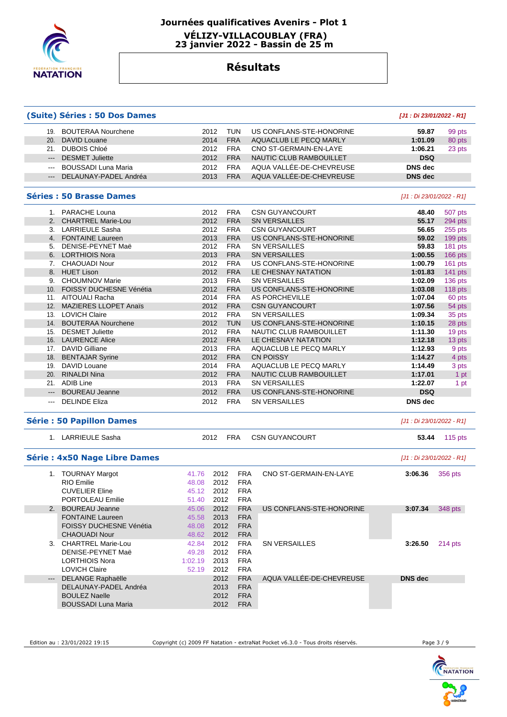

# **Journées qualificatives Avenirs - Plot 1 VÉLIZY-VILLACOUBLAY (FRA)**

 **23 janvier 2022 - Bassin de 25 m** 

## **Résultats**

|                                                                                                                                                                                                                                                                                                                                                                                                                                                                            | (Suite) Séries : 50 Dos Dames        |               |                    |                          | [J1: Di 23/01/2022 - R1]  |                |
|----------------------------------------------------------------------------------------------------------------------------------------------------------------------------------------------------------------------------------------------------------------------------------------------------------------------------------------------------------------------------------------------------------------------------------------------------------------------------|--------------------------------------|---------------|--------------------|--------------------------|---------------------------|----------------|
|                                                                                                                                                                                                                                                                                                                                                                                                                                                                            | 19. BOUTERAA Nourchene               | 2012          | <b>TUN</b>         | US CONFLANS-STE-HONORINE | 59.87                     | 99 pts         |
| 20.                                                                                                                                                                                                                                                                                                                                                                                                                                                                        | <b>DAVID Louane</b>                  | 2014          | <b>FRA</b>         | AQUACLUB LE PECQ MARLY   | 1:01.09                   | 80 pts         |
|                                                                                                                                                                                                                                                                                                                                                                                                                                                                            | 21. DUBOIS Chloé                     | 2012          | <b>FRA</b>         | CNO ST-GERMAIN-EN-LAYE   | 1:06.21                   | 23 pts         |
| $\frac{1}{2} \left( \frac{1}{2} \right) \left( \frac{1}{2} \right) \left( \frac{1}{2} \right) \left( \frac{1}{2} \right) \left( \frac{1}{2} \right) \left( \frac{1}{2} \right) \left( \frac{1}{2} \right) \left( \frac{1}{2} \right) \left( \frac{1}{2} \right) \left( \frac{1}{2} \right) \left( \frac{1}{2} \right) \left( \frac{1}{2} \right) \left( \frac{1}{2} \right) \left( \frac{1}{2} \right) \left( \frac{1}{2} \right) \left( \frac{1}{2} \right) \left( \frac$ | <b>DESMET Juliette</b>               | 2012          | <b>FRA</b>         | NAUTIC CLUB RAMBOUILLET  | <b>DSQ</b>                |                |
| $\frac{1}{2} \left( \frac{1}{2} \right) \left( \frac{1}{2} \right) \left( \frac{1}{2} \right) \left( \frac{1}{2} \right) \left( \frac{1}{2} \right) \left( \frac{1}{2} \right) \left( \frac{1}{2} \right) \left( \frac{1}{2} \right) \left( \frac{1}{2} \right) \left( \frac{1}{2} \right) \left( \frac{1}{2} \right) \left( \frac{1}{2} \right) \left( \frac{1}{2} \right) \left( \frac{1}{2} \right) \left( \frac{1}{2} \right) \left( \frac{1}{2} \right) \left( \frac$ | <b>BOUSSADI Luna Maria</b>           | 2012          | <b>FRA</b>         | AQUA VALLÉE-DE-CHEVREUSE | <b>DNS</b> dec            |                |
| $\qquad \qquad - -$                                                                                                                                                                                                                                                                                                                                                                                                                                                        | DELAUNAY-PADEL Andréa                | 2013          | <b>FRA</b>         | AQUA VALLÉE-DE-CHEVREUSE | <b>DNS</b> dec            |                |
|                                                                                                                                                                                                                                                                                                                                                                                                                                                                            | <b>Séries : 50 Brasse Dames</b>      |               |                    |                          | [J1 : Di 23/01/2022 - R1] |                |
|                                                                                                                                                                                                                                                                                                                                                                                                                                                                            |                                      |               |                    |                          |                           |                |
|                                                                                                                                                                                                                                                                                                                                                                                                                                                                            | 1. PARACHE Louna                     | 2012          | <b>FRA</b>         | <b>CSN GUYANCOURT</b>    | 48.40                     | 507 pts        |
|                                                                                                                                                                                                                                                                                                                                                                                                                                                                            | 2. CHARTREL Marie-Lou                | 2012          | <b>FRA</b>         | <b>SN VERSAILLES</b>     | 55.17                     | 294 pts        |
|                                                                                                                                                                                                                                                                                                                                                                                                                                                                            | 3. LARRIEULE Sasha                   | 2012          | <b>FRA</b>         | <b>CSN GUYANCOURT</b>    | 56.65                     | 255 pts        |
|                                                                                                                                                                                                                                                                                                                                                                                                                                                                            | 4. FONTAINE Laureen                  | 2013          | <b>FRA</b>         | US CONFLANS-STE-HONORINE | 59.02                     | 199 pts        |
| 5.                                                                                                                                                                                                                                                                                                                                                                                                                                                                         | DENISE-PEYNET Maë                    | 2012          | <b>FRA</b>         | <b>SN VERSAILLES</b>     | 59.83                     | 181 pts        |
|                                                                                                                                                                                                                                                                                                                                                                                                                                                                            | 6. LORTHIOIS Nora                    | 2013          | <b>FRA</b>         | <b>SN VERSAILLES</b>     | 1:00.55                   | 166 pts        |
|                                                                                                                                                                                                                                                                                                                                                                                                                                                                            | 7. CHAOUADI Nour                     | 2012          | <b>FRA</b>         | US CONFLANS-STE-HONORINE | 1:00.79                   | 161 pts        |
| 8.                                                                                                                                                                                                                                                                                                                                                                                                                                                                         | <b>HUET Lison</b>                    | 2012          | <b>FRA</b>         | LE CHESNAY NATATION      | 1:01.83                   | 141 pts        |
|                                                                                                                                                                                                                                                                                                                                                                                                                                                                            | 9. CHOUMNOV Marie                    | 2013          | <b>FRA</b>         | <b>SN VERSAILLES</b>     | 1:02.09                   | 136 pts        |
|                                                                                                                                                                                                                                                                                                                                                                                                                                                                            | 10. FOISSY DUCHESNE Vénétia          | 2012          | <b>FRA</b>         | US CONFLANS-STE-HONORINE | 1:03.08                   | 118 pts        |
|                                                                                                                                                                                                                                                                                                                                                                                                                                                                            | 11. AITOUALI Racha                   | 2014          | <b>FRA</b>         | <b>AS PORCHEVILLE</b>    | 1:07.04                   | 60 pts         |
|                                                                                                                                                                                                                                                                                                                                                                                                                                                                            | 12. MAZIERES LLOPET Anaïs            | 2012          | <b>FRA</b>         | <b>CSN GUYANCOURT</b>    | 1:07.56                   | 54 pts         |
|                                                                                                                                                                                                                                                                                                                                                                                                                                                                            | 13. LOVICH Claire                    | 2012          | <b>FRA</b>         | <b>SN VERSAILLES</b>     | 1:09.34                   | 35 pts         |
|                                                                                                                                                                                                                                                                                                                                                                                                                                                                            | 14. BOUTERAA Nourchene               | 2012          | <b>TUN</b>         | US CONFLANS-STE-HONORINE | 1:10.15                   | 28 pts         |
|                                                                                                                                                                                                                                                                                                                                                                                                                                                                            | 15. DESMET Juliette                  | 2012          | <b>FRA</b>         |                          |                           |                |
|                                                                                                                                                                                                                                                                                                                                                                                                                                                                            |                                      |               |                    | NAUTIC CLUB RAMBOUILLET  | 1:11.30                   | 19 pts         |
|                                                                                                                                                                                                                                                                                                                                                                                                                                                                            | 16. LAURENCE Alice                   | 2012          | <b>FRA</b>         | LE CHESNAY NATATION      | 1:12.18                   | 13 pts         |
|                                                                                                                                                                                                                                                                                                                                                                                                                                                                            | 17. DAVID Gilliane                   | 2013          | <b>FRA</b>         | AQUACLUB LE PECQ MARLY   | 1:12.93                   | 9 pts          |
|                                                                                                                                                                                                                                                                                                                                                                                                                                                                            | 18. BENTAJAR Syrine                  | 2012          | <b>FRA</b>         | <b>CN POISSY</b>         | 1:14.27                   | 4 pts          |
|                                                                                                                                                                                                                                                                                                                                                                                                                                                                            | 19. DAVID Louane                     | 2014          | <b>FRA</b>         | AQUACLUB LE PECQ MARLY   | 1:14.49                   | 3 pts          |
| 20.                                                                                                                                                                                                                                                                                                                                                                                                                                                                        | <b>RINALDI Nina</b>                  | 2012          | <b>FRA</b>         | NAUTIC CLUB RAMBOUILLET  | 1:17.01                   | 1 pt           |
|                                                                                                                                                                                                                                                                                                                                                                                                                                                                            | 21. ADIB Line                        | 2013          | <b>FRA</b>         | <b>SN VERSAILLES</b>     | 1:22.07                   | 1 pt           |
| $\overline{a}$                                                                                                                                                                                                                                                                                                                                                                                                                                                             | <b>BOUREAU Jeanne</b>                | 2012          | <b>FRA</b>         | US CONFLANS-STE-HONORINE | <b>DSQ</b>                |                |
| $\overline{\phantom{a}}$                                                                                                                                                                                                                                                                                                                                                                                                                                                   | <b>DELINDE Eliza</b>                 | 2012          | <b>FRA</b>         | <b>SN VERSAILLES</b>     | <b>DNS</b> dec            |                |
|                                                                                                                                                                                                                                                                                                                                                                                                                                                                            | <b>Série : 50 Papillon Dames</b>     |               |                    |                          | [J1 : Di 23/01/2022 - R1] |                |
|                                                                                                                                                                                                                                                                                                                                                                                                                                                                            | 1. LARRIEULE Sasha                   | 2012          | <b>FRA</b>         | <b>CSN GUYANCOURT</b>    | 53.44                     | <b>115 pts</b> |
|                                                                                                                                                                                                                                                                                                                                                                                                                                                                            | <b>Série : 4x50 Nage Libre Dames</b> |               |                    |                          | [J1 : Di 23/01/2022 - R1] |                |
|                                                                                                                                                                                                                                                                                                                                                                                                                                                                            | 1. TOURNAY Margot                    | 2012<br>41.76 | <b>FRA</b>         | CNO ST-GERMAIN-EN-LAYE   | 3:06.36                   | 356 pts        |
|                                                                                                                                                                                                                                                                                                                                                                                                                                                                            | RIO Fmilie                           | 2012<br>48.08 | <b>FRA</b>         |                          |                           |                |
|                                                                                                                                                                                                                                                                                                                                                                                                                                                                            | <b>CUVELIER Eline</b>                | 45.12<br>2012 | <b>FRA</b>         |                          |                           |                |
|                                                                                                                                                                                                                                                                                                                                                                                                                                                                            | PORTOLEAU Emilie                     | 2012<br>51.40 | <b>FRA</b>         |                          |                           |                |
| 2.                                                                                                                                                                                                                                                                                                                                                                                                                                                                         | <b>BOUREAU Jeanne</b>                | 2012<br>45.06 | <b>FRA</b>         | US CONFLANS-STE-HONORINE | 3:07.34                   | 348 pts        |
|                                                                                                                                                                                                                                                                                                                                                                                                                                                                            | <b>FONTAINE Laureen</b>              | 45.58<br>2013 | <b>FRA</b>         |                          |                           |                |
|                                                                                                                                                                                                                                                                                                                                                                                                                                                                            | FOISSY DUCHESNE Vénétia              | 2012<br>48.08 | <b>FRA</b>         |                          |                           |                |
|                                                                                                                                                                                                                                                                                                                                                                                                                                                                            | <b>CHAOUADI Nour</b>                 | 48.62<br>2012 | <b>FRA</b>         |                          |                           |                |
|                                                                                                                                                                                                                                                                                                                                                                                                                                                                            |                                      |               |                    |                          |                           |                |
|                                                                                                                                                                                                                                                                                                                                                                                                                                                                            | 3. CHARTREL Marie-Lou                | 42.84<br>2012 | <b>FRA</b>         | <b>SN VERSAILLES</b>     | 3:26.50                   | 214 pts        |
|                                                                                                                                                                                                                                                                                                                                                                                                                                                                            |                                      | 49.28<br>2012 | <b>FRA</b>         |                          |                           |                |
|                                                                                                                                                                                                                                                                                                                                                                                                                                                                            | DENISE-PEYNET Maë                    |               | 2013<br><b>FRA</b> |                          |                           |                |
|                                                                                                                                                                                                                                                                                                                                                                                                                                                                            | <b>LORTHIOIS Nora</b>                | 1:02.19       |                    |                          |                           |                |
|                                                                                                                                                                                                                                                                                                                                                                                                                                                                            | <b>LOVICH Claire</b>                 | 52.19<br>2012 | <b>FRA</b>         |                          |                           |                |
| $\qquad \qquad - -$                                                                                                                                                                                                                                                                                                                                                                                                                                                        | <b>DELANGE Raphaëlle</b>             | 2012          | <b>FRA</b>         | AQUA VALLEE-DE-CHEVREUSE | <b>DNS dec</b>            |                |
|                                                                                                                                                                                                                                                                                                                                                                                                                                                                            | DELAUNAY-PADEL Andréa                | 2013          | <b>FRA</b>         |                          |                           |                |
|                                                                                                                                                                                                                                                                                                                                                                                                                                                                            | <b>BOULEZ Naelle</b>                 | 2012          | <b>FRA</b>         |                          |                           |                |

Edition au : 23/01/2022 19:15 Copyright (c) 2009 FF Natation - extraNat Pocket v6.3.0 - Tous droits réservés. Page 3 / 9

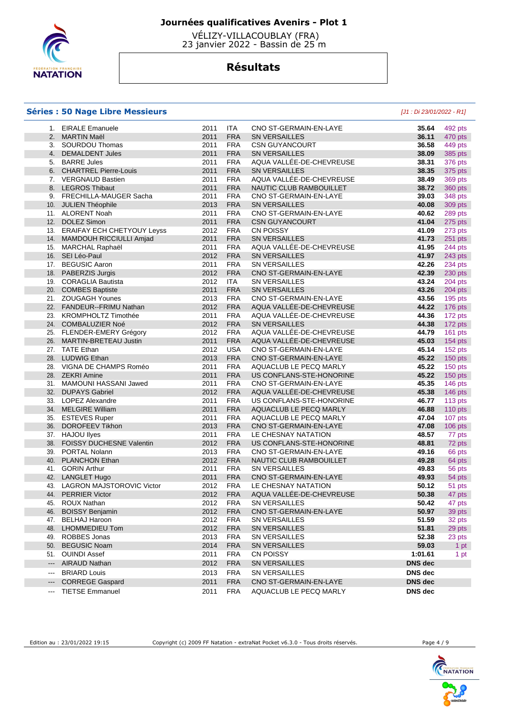

 VÉLIZY-VILLACOUBLAY (FRA) 23 janvier 2022 - Bassin de 25 m

# **Résultats**

### **Séries : 50 Nage Libre Messieurs** [J1 : Di 23/01/2022 - R1]

| 1.                       | <b>EIRALE Emanuele</b>         | 2011 | ITA        | CNO ST-GERMAIN-EN-LAYE   | 35.64          | 492 pts   |
|--------------------------|--------------------------------|------|------------|--------------------------|----------------|-----------|
|                          | 2. MARTIN Maël                 | 2011 | <b>FRA</b> | <b>SN VERSAILLES</b>     | 36.11          | 470 pts   |
|                          | 3. SOURDOU Thomas              | 2011 | <b>FRA</b> | <b>CSN GUYANCOURT</b>    | 36.58          | 449 pts   |
|                          | 4. DEMALDENT Jules             | 2011 | <b>FRA</b> | <b>SN VERSAILLES</b>     | 38.09          | 385 pts   |
|                          | 5. BARRE Jules                 | 2011 | <b>FRA</b> | AQUA VALLÉE-DE-CHEVREUSE | 38.31          | 376 pts   |
|                          | 6. CHARTREL Pierre-Louis       | 2011 | <b>FRA</b> | <b>SN VERSAILLES</b>     | 38.35          | 375 pts   |
|                          | 7. VERGNAUD Bastien            | 2011 | <b>FRA</b> | AQUA VALLÉE-DE-CHEVREUSE | 38.49          | 369 pts   |
|                          | 8. LEGROS Thibaut              | 2011 | <b>FRA</b> | NAUTIC CLUB RAMBOUILLET  | 38.72          | 360 pts   |
|                          | 9. FRECHILLA-MAUGER Sacha      | 2011 | <b>FRA</b> | CNO ST-GERMAIN-EN-LAYE   | 39.03          | 348 pts   |
|                          | 10. JULIEN Théophile           | 2013 | <b>FRA</b> | <b>SN VERSAILLES</b>     | 40.08          | 309 pts   |
|                          | 11. ALORENT Noah               | 2011 | <b>FRA</b> | CNO ST-GERMAIN-EN-LAYE   | 40.62          | 289 pts   |
|                          | 12. DOLEZ Simon                | 2011 | <b>FRA</b> | <b>CSN GUYANCOURT</b>    | 41.04          | 275 pts   |
|                          | 13. ERAIFAY ECH CHETYOUY Leyss | 2012 | <b>FRA</b> | <b>CN POISSY</b>         | 41.09          | 273 pts   |
|                          | 14. MAMDOUH RICCIULLI Amjad    | 2011 | <b>FRA</b> | <b>SN VERSAILLES</b>     | 41.73          | 251 pts   |
|                          | 15. MARCHAL Raphaël            | 2011 | <b>FRA</b> | AQUA VALLÉE-DE-CHEVREUSE | 41.95          | 244 pts   |
|                          | 16. SEI Léo-Paul               | 2012 | <b>FRA</b> | <b>SN VERSAILLES</b>     | 41.97          | 243 pts   |
|                          | 17. BEGUSIC Aaron              | 2011 | <b>FRA</b> | <b>SN VERSAILLES</b>     | 42.26          | 234 pts   |
|                          | 18. PABERZIS Jurgis            | 2012 | <b>FRA</b> | CNO ST-GERMAIN-EN-LAYE   | 42.39          | 230 pts   |
|                          | 19. CORAGLIA Bautista          | 2012 | <b>ITA</b> | <b>SN VERSAILLES</b>     | 43.24          | 204 pts   |
|                          | 20. COMBES Baptiste            | 2011 | <b>FRA</b> | <b>SN VERSAILLES</b>     | 43.26          | 204 pts   |
|                          | 21. ZOUGAGH Younes             | 2013 | <b>FRA</b> | CNO ST-GERMAIN-EN-LAYE   | 43.56          | $195$ pts |
|                          | 22. FANDEUR--FRIMU Nathan      | 2012 | <b>FRA</b> | AQUA VALLEE-DE-CHEVREUSE | 44.22          | 176 pts   |
|                          | 23. KROMPHOLTZ Timothée        | 2011 | <b>FRA</b> | AQUA VALLEE-DE-CHEVREUSE | 44.36          | 172 pts   |
|                          | 24. COMBALUZIER Noé            | 2012 | <b>FRA</b> | <b>SN VERSAILLES</b>     | 44.38          | 172 pts   |
|                          | 25. FLENDER-EMERY Grégory      | 2012 | <b>FRA</b> | AQUA VALLÉE-DE-CHEVREUSE | 44.79          | 161 pts   |
|                          | 26. MARTIN-BRETEAU Justin      | 2011 | <b>FRA</b> | AQUA VALLÉE-DE-CHEVREUSE | 45.03          | $154$ pts |
|                          | 27. TATE Ethan                 | 2012 | <b>USA</b> | CNO ST-GERMAIN-EN-LAYE   | 45.14          | 152 pts   |
|                          | 28. LUDWIG Ethan               | 2013 | <b>FRA</b> | CNO ST-GERMAIN-EN-LAYE   | 45.22          | 150 pts   |
|                          | 28. VIGNA DE CHAMPS Roméo      | 2011 | <b>FRA</b> | AQUACLUB LE PECQ MARLY   | 45.22          | 150 pts   |
|                          | 28. ZEKRI Amine                | 2011 | <b>FRA</b> | US CONFLANS-STE-HONORINE | 45.22          | 150 pts   |
|                          | 31. MAMOUNI HASSANI Jawed      | 2011 | <b>FRA</b> | CNO ST-GERMAIN-EN-LAYE   | 45.35          | 146 pts   |
|                          | 32. DUPAYS Gabriel             | 2012 | <b>FRA</b> | AQUA VALLÉE-DE-CHEVREUSE | 45.38          | 146 pts   |
|                          | 33. LOPEZ Alexandre            | 2011 | <b>FRA</b> | US CONFLANS-STE-HONORINE | 46.77          | 113 pts   |
|                          | 34. MELGIRE William            | 2011 | <b>FRA</b> | AQUACLUB LE PECQ MARLY   | 46.88          | 110 pts   |
|                          | 35. ESTEVES Ruper              | 2011 | <b>FRA</b> | AQUACLUB LE PECQ MARLY   | 47.04          | 107 pts   |
|                          | 36. DOROFEEV Tikhon            | 2013 | <b>FRA</b> | CNO ST-GERMAIN-EN-LAYE   | 47.08          | 106 pts   |
|                          | 37. HAJOU llyes                | 2011 | <b>FRA</b> | LE CHESNAY NATATION      | 48.57          | 77 pts    |
|                          | 38. FOISSY DUCHESNE Valentin   | 2012 | <b>FRA</b> | US CONFLANS-STE-HONORINE | 48.81          | 72 pts    |
|                          | 39. PORTAL Nolann              | 2013 | <b>FRA</b> | CNO ST-GERMAIN-EN-LAYE   | 49.16          | 66 pts    |
|                          | 40. PLANCHON Ethan             | 2012 | <b>FRA</b> | NAUTIC CLUB RAMBOUILLET  | 49.28          | 64 pts    |
|                          | 41. GORIN Arthur               | 2011 | <b>FRA</b> | <b>SN VERSAILLES</b>     | 49.83          | 56 pts    |
|                          | 42. LANGLET Hugo               | 2011 | <b>FRA</b> | CNO ST-GERMAIN-EN-LAYE   | 49.93          | 54 pts    |
|                          | 43. LAGRON MAJSTOROVIC Victor  | 2012 | <b>FRA</b> | LE CHESNAY NATATION      | 50.12          | 51 pts    |
|                          | 44. PERRIER Victor             | 2012 | <b>FRA</b> | AQUA VALLÉE-DE-CHEVREUSE | 50.38          | 47 pts    |
| 45.                      | ROUX Nathan                    | 2012 | <b>FRA</b> | SN VERSAILLES            | 50.42          | 47 pts    |
|                          | 46. BOISSY Benjamin            | 2012 | <b>FRA</b> | CNO ST-GERMAIN-EN-LAYE   | 50.97          | 39 pts    |
|                          | 47. BELHAJ Haroon              | 2012 | <b>FRA</b> | SN VERSAILLES            | 51.59          | 32 pts    |
|                          | 48. LHOMMEDIEU Tom             | 2012 | <b>FRA</b> | SN VERSAILLES            | 51.81          | 29 pts    |
|                          | 49. ROBBES Jonas               | 2013 | <b>FRA</b> | SN VERSAILLES            | 52.38          | 23 pts    |
|                          | 50. BEGUSIC Noam               | 2014 | <b>FRA</b> | <b>SN VERSAILLES</b>     | 59.03          | 1 pt      |
|                          | 51. OUINDI Assef               | 2011 | <b>FRA</b> | CN POISSY                | 1:01.61        | 1 pt      |
| $\cdots$                 | <b>AIRAUD Nathan</b>           | 2012 | <b>FRA</b> | SN VERSAILLES            | DNS dec        |           |
| $\qquad \qquad \cdots$   | <b>BRIARD Louis</b>            | 2013 | <b>FRA</b> | SN VERSAILLES            | DNS dec        |           |
|                          |                                |      | <b>FRA</b> | CNO ST-GERMAIN-EN-LAYE   | DNS dec        |           |
| $\hspace{0.05cm} \ldots$ | <b>CORREGE Gaspard</b>         | 2011 |            |                          |                |           |
| ---                      | <b>TIETSE Emmanuel</b>         | 2011 | <b>FRA</b> | AQUACLUB LE PECQ MARLY   | <b>DNS</b> dec |           |



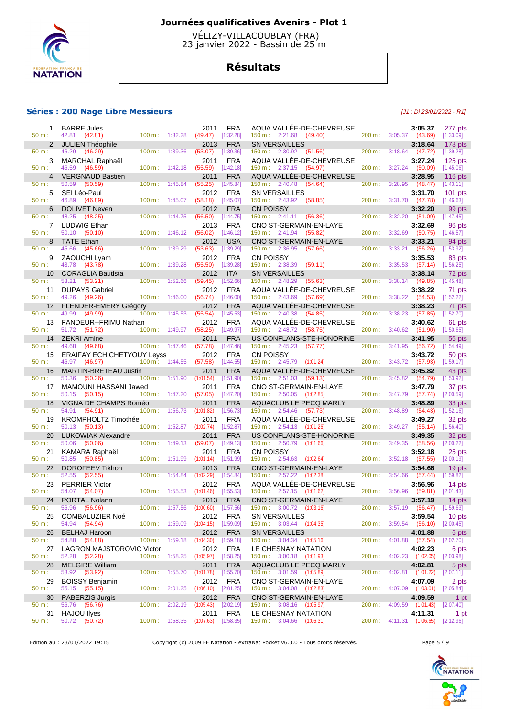

 VÉLIZY-VILLACOUBLAY (FRA) 23 janvier 2022 - Bassin de 25 m

# **Résultats**

### **Séries : 200 Nage Libre Messieurs** [J1 : Di 23/01/2022 - R1]

|              | 1. BARRE Jules                                |                                    | 2011              | <b>FRA</b>              | AQUA VALLEE-DE-CHEVREUSE                                         |         |                           | 3:05.37            | 277 pts             |
|--------------|-----------------------------------------------|------------------------------------|-------------------|-------------------------|------------------------------------------------------------------|---------|---------------------------|--------------------|---------------------|
| 50 m:        | 42.81 (42.81)                                 | $100 \text{ m}: 1:32.28$           | (49.47)           | [1:32.28]               | $150 \text{ m}: 2:21.68$ (49.40)                                 | 200 m:  | 3:05.37                   | (43.69)            | [1:33.09]           |
| 2.           | <b>JULIEN Théophile</b>                       |                                    | 2013              | <b>FRA</b>              | <b>SN VERSAILLES</b>                                             |         |                           | 3:18.64            | 178 pts             |
| 50 m:        | 46.29<br>(46.29)                              | $100 \text{ m}$ :<br>1:39.36       | (53.07)           | [1:39.36]               | $150 \text{ m}: 2:30.92$ (51.56)                                 | 200 m : | $3:18.64$ (47.72)         |                    | [1:39.28]           |
| 3.           | MARCHAL Raphaël                               |                                    | 2011              | <b>FRA</b>              | AQUA VALLÉE-DE-CHEVREUSE                                         |         |                           | 3:27.24            | $125$ pts           |
| $50 m$ :     | 46.59<br>(46.59)                              | 100 m:<br>1:42.18                  | (55.59)           | [1:42.18]               | 150 m: 2:37.15 (54.97)                                           | 200 m:  | 3:27.24                   | (50.09)            | [1:45.06]           |
| 4.           | <b>VERGNAUD Bastien</b>                       |                                    | 2011              | <b>FRA</b>              | AQUA VALLÉE-DE-CHEVREUSE                                         |         |                           | 3:28.95            | $116$ pts           |
| 50 m:        | 50.59<br>(50.59)                              | $100 \text{ m}$ :<br>1:45.84       | (55.25)           | [1:45.84]               | $150 \text{ m}: 2:40.48$<br>(54.64)                              | 200 m:  | 3:28.95                   | (48.47)            | [1:43.11]           |
| 5.           | SEI Léo-Paul                                  |                                    | 2012              | <b>FRA</b>              | <b>SN VERSAILLES</b>                                             |         |                           | 3:31.70            | $101$ pts           |
| 50 m:        | 46.89<br>(46.89)                              | 1:45.07<br>100 m:                  | (58.18)           | [1:45.07]               | 150 m: 2:43.92<br>(58.85)                                        | 200 m:  | 3:31.70                   | (47.78)            | [1:46.63]           |
| 6.           | <b>DOLIVET Neven</b>                          |                                    | 2012              | <b>FRA</b>              | <b>CN POISSY</b>                                                 |         |                           | 3:32.20            | 99 pts              |
| 50 m:        | 48.25 (48.25)                                 | 100 m:<br>1:44.75                  | (56.50)           | [1:44.75]               | $150 \text{ m}: 2:41.11$<br>(56.36)                              | 200 m:  | 3:32.20                   | (51.09)            | [1:47.45]           |
|              | 7. LUDWIG Ethan                               |                                    | 2013              | <b>FRA</b>              | CNO ST-GERMAIN-EN-LAYE                                           |         |                           | 3:32.69            | 96 pts              |
| 50 m:        | 50.10 (50.10)                                 | 100 m:<br>1:46.12                  | (56.02)           | [1:46.12]               | $150 \text{ m}: 2:41.94$ (55.82)                                 | 200 m:  | 3:32.69                   | (50.75)            | [1:46.57]           |
|              | 8. TATE Ethan                                 |                                    | 2012              | <b>USA</b>              | CNO ST-GERMAIN-EN-LAYE                                           |         |                           | 3:33.21            | 94 pts              |
| 50 m:        | 45.66<br>(45.66)                              | 100 m:<br>1:39.29                  | (53.63)           | [1:39.29]               | 150 m: 2:36.95<br>(57.66)                                        | 200 m:  | 3:33.21                   | (56.26)            | [1:53.92]           |
| 9.           | ZAOUCHI Lyam                                  |                                    | 2012              | FRA                     | <b>CN POISSY</b>                                                 |         |                           | 3:35.53            | 83 pts              |
| 50 m:        | 43.78 (43.78)                                 | 100 m: 1:39.28                     | (55.50)           | [1:39.28]               | $150 \text{ m}: 2:38.39$<br>(59.11)                              | 200 m:  | 3:35.53                   | (57.14)            | [1:56.25]           |
| 10.          | <b>CORAGLIA Bautista</b>                      |                                    | 2012              | <b>ITA</b>              | <b>SN VERSAILLES</b>                                             |         |                           | 3:38.14            | 72 pts              |
| 50 m:        | 53.21<br>(53.21)                              | 100 m:<br>1:52.66                  | (59.45)           | [1:52.66]               | $150 \text{ m}: 2:48.29$<br>(55.63)                              | 200 m:  | 3:38.14                   | (49.85)            | [1:45.48]           |
| 11.          | <b>DUPAYS Gabriel</b>                         |                                    | 2012              | <b>FRA</b>              | AQUA VALLÉE-DE-CHEVREUSE                                         |         |                           | 3:38.22            | 71 pts              |
| 50 m:        | 49.26<br>(49.26)                              | 1:46.00<br>100 m:                  | (56.74)           | [1:46.00]               | $150 \text{ m}: 2:43.69$<br>(57.69)                              | 200 m:  | 3:38.22                   | (54.53)            | [1:52.22]           |
| 12.          | <b>FLENDER-EMERY Grégory</b>                  |                                    | 2012              | FRA                     | AQUA VALLEE-DE-CHEVREUSE                                         |         |                           | 3:38.23            | 71 pts              |
| $50 m$ :     | 49.99<br>(49.99)                              | $100 \text{ m}$ :<br>1:45.53       | (55.54)           | [1:45.53]               | $150 \text{ m}: 2:40.38$<br>(54.85)                              | 200 m:  | 3:38.23                   | (57.85)            | [1:52.70]           |
|              | 13. FANDEUR--FRIMU Nathan                     |                                    | 2012              | <b>FRA</b>              | AQUA VALLÉE-DE-CHEVREUSE                                         |         |                           | 3:40.62            | 61 pts              |
| 50 m:        | 51.72<br>(51.72)                              | 1:49.97<br>$100 \text{ m}$ :       | (58.25)           | [1:49.97]               | 150 m : 2:48.72 (58.75)                                          | 200 m:  | 3:40.62                   | (51.90)            | [1:50.65]           |
|              | 14. ZEKRI Amine                               |                                    | 2011              | <b>FRA</b>              | US CONFLANS-STE-HONORINE                                         |         |                           | 3:41.95            | 56 pts              |
| 50 m:        | 49.68<br>(49.68)                              | 100 m: 1:47.46                     | (57.78)           | [1:47.46]               | 150 m: 2:45.23<br>(57.77)                                        | 200 m : | 3:41.95                   | (56.72)            | [1:54.49]           |
| 15.          | <b>ERAIFAY ECH CHETYOUY Leyss</b>             |                                    | 2012              | <b>FRA</b>              | <b>CN POISSY</b>                                                 |         |                           | 3:43.72            | 50 pts              |
| $50 m$ :     | 46.97<br>(46.97)                              | 100 m: 1:44.55                     | (57.58)           | [1:44.55]               | 150 m: 2:45.79 (1:01.24)                                         | 200 m:  | 3:43.72                   | (57.93)            | [1:59.17]           |
| 16.          | MARTIN-BRETEAU Justin                         |                                    | 2011              | <b>FRA</b>              | AQUA VALLEE-DE-CHEVREUSE                                         |         |                           | 3:45.82            | 43 pts              |
| 50 m:        | 50.36<br>(50.36)                              | $100 m$ :<br>1:51.90               | (1:01.54)         | [1:51.90]               | $150 \text{ m}: 2:51.03$<br>(59.13)                              | 200 m:  | 3:45.82                   | (54.79)            | [1:53.92]           |
|              |                                               |                                    |                   |                         |                                                                  |         |                           |                    |                     |
| 17.          |                                               |                                    | 2011              | <b>FRA</b>              |                                                                  |         |                           | 3:47.79            |                     |
| 50 m:        | MAMOUNI HASSANI Jawed<br>50.15<br>(50.15)     | $100 m$ : 1:47.20                  | (57.05)           | [1:47.20]               | CNO ST-GERMAIN-EN-LAYE<br>$150 \text{ m}: 2:50.05$ $(1:02.85)$   | 200 m:  | 3:47.79                   | (57.74)            | 37 pts<br>[2:00.59] |
| 18.          |                                               |                                    | 2011              |                         |                                                                  |         |                           |                    |                     |
| 50 m:        | VIGNA DE CHAMPS Roméo<br>54.91 (54.91)        | 100 m:<br>1:56.73                  | (1:01.82)         | <b>FRA</b><br>[1:56.73] | AQUACLUB LE PECQ MARLY<br>$150 \text{ m}: 2:54.46$ (57.73)       | 200 m:  | 3:48.89                   | 3:48.89<br>(54.43) | 33 pts<br>[1:52.16] |
|              |                                               |                                    |                   | <b>FRA</b>              |                                                                  |         |                           | 3:49.27            |                     |
| 19.<br>50 m: | <b>KROMPHOLTZ Timothée</b><br>50.13 (50.13)   | 100 m: 1:52.87                     | 2011<br>(1:02.74) | [1:52.87]               | AQUA VALLÉE-DE-CHEVREUSE<br>$150 \text{ m}: 2:54.13$ $(1:01.26)$ | 200 m:  | $3:49.27$ (55.14)         |                    | 32 pts<br>[1:56.40] |
| 20.          |                                               |                                    | 2011              | <b>FRA</b>              |                                                                  |         |                           | 3:49.35            |                     |
| 50 m:        | <b>LUKOWIAK Alexandre</b><br>50.06<br>(50.06) | 100 m:<br>1:49.13                  | (59.07)           | [1:49.13]               | US CONFLANS-STE-HONORINE<br>150 m : 2:50.79 (1:01.66)            | 200 m:  | 3:49.35                   | (58.56)            | 32 pts<br>[2:00.22] |
|              |                                               |                                    |                   |                         |                                                                  |         |                           |                    |                     |
| 21.<br>50 m: | KAMARA Raphaël                                |                                    | 2011              | <b>FRA</b>              | <b>CN POISSY</b>                                                 | 200 m:  |                           | 3:52.18            | 25 pts              |
|              | 50.85<br>(50.85)                              | 100 m: 1:51.99                     | (1:01.14)         | [1:51.99]               | $150 \text{ m}: 2:54.63$ $(1:02.64)$                             |         | 3:52.18                   | (57.55)            | [2:00.19]           |
| 22.          | <b>DOROFEEV Tikhon</b>                        |                                    | 2013              | <b>FRA</b>              | <b>CNO ST-GERMAIN-EN-LAYE</b>                                    |         |                           | 3:54.66            | 19 pts              |
| 50 m:        | 52.55<br>(52.55)                              | $100 \text{ m}$ :<br>1:54.84       | (1:02.29)         | [1:54.84]               | 2:57.22<br>150 m:<br>(1:02.38)                                   | 200 m : | 3:54.66                   | (57.44)            | [1:59.82]           |
| 23.          | <b>PERRIER Victor</b>                         |                                    | 2012              | <b>FRA</b>              | AQUA VALLÉE-DE-CHEVREUSE                                         |         |                           | 3:56.96            | 14 pts              |
| 50 m:        | 54.07<br>(54.07)                              | 1:55.53<br>100 m:                  | (1:01.46)         | [1:55.53]               | $150 \text{ m}: 2:57.15$ $(1:01.62)$                             | 200 m:  | 3:56.96                   | (59.81)            | [2:01.43]           |
|              | 24. PORTAL Nolann                             |                                    | 2013              | FRA                     | CNO ST-GERMAIN-EN-LAYE                                           |         |                           | 3:57.19            | 14 pts              |
| 50 m:        | 56.96 (56.96)                                 | 100 m: 1:57.56 (1:00.60) [1:57.56] |                   |                         | $150 \text{ m}: 3:00.72$ (1:03.16)                               | 200 m:  | $3:57.19$ (56.47)         |                    | $[1:59.63]$         |
|              | 25. COMBALUZIER Noé                           |                                    |                   | 2012 FRA                | SN VERSAILLES                                                    |         |                           | 3:59.54            | 10 pts              |
| 50 m:        | 54.94 (54.94)                                 | 100 m: 1:59.09 (1:04.15) [1:59.09] |                   |                         | $150 \text{ m}: 3:03.44$ $(1:04.35)$                             |         | 200 m: 3:59.54 (56.10)    |                    | [2:00.45]           |
| 26.          | <b>BELHAJ Haroon</b>                          |                                    | 2012              | <b>FRA</b>              | <b>SN VERSAILLES</b>                                             |         |                           | 4:01.88            | 6 pts               |
| $50 m$ :     | 54.88 (54.88)                                 | $100 m$ :<br>1:59.18               |                   | $(1:04.30)$ $[1:59.18]$ | $150 \text{ m}: 3:04.34 (1:05.16)$                               | 200 m : | 4:01.88                   | (57.54)            | [2:02.70]           |
|              | 27. LAGRON MAJSTOROVIC Victor                 |                                    | 2012              | FRA                     | LE CHESNAY NATATION                                              |         |                           | 4:02.23            | 6 pts               |
| 50 m:        | 52.28 (52.28)                                 | 100 m: 1:58.25 (1:05.97) [1:58.25] |                   |                         | 150 m : 3:00.18 (1:01.93)                                        |         | 200 m: 4:02.23 (1:02.05)  |                    | $[2:03.98]$         |
| 28.          | <b>MELGIRE William</b>                        |                                    | 2011              | <b>FRA</b>              | AQUACLUB LE PECQ MARLY                                           |         |                           | 4:02.81            | 5 pts               |
| 50 m:        | 53.92 (53.92)                                 | 100 m: 1:55.70                     | (1:01.78)         | [1:55.70]               | 150 m : 3:01.59 (1:05.89)                                        |         | 200 m: 4:02.81 (1:01.22)  |                    | [2:07.11]           |
| 29.          | <b>BOISSY Benjamin</b>                        |                                    | 2012              | <b>FRA</b>              | CNO ST-GERMAIN-EN-LAYE                                           |         |                           | 4:07.09            | 2 pts               |
| 50 m:        | 55.15 (55.15)                                 | $100 \text{ m}: 2:01.25 (1:06.10)$ |                   | [2:01.25]               | $150 \text{ m}: 3:04.08$ $(1:02.83)$                             |         | 200 m : 4:07.09 (1:03.01) |                    | $[2:05.84]$         |
|              | 30. PABERZIS Jurgis                           |                                    | 2012              | <b>FRA</b>              | CNO ST-GERMAIN-EN-LAYE                                           |         |                           | 4:09.59            | 1 pt                |
| $50 m$ :     | 56.76 (56.76)                                 | 100 m: 2:02.19                     | (1:05.43)         | [2:02.19]               | 150 m: 3:08.16 (1:05.97)                                         |         | 200 m: 4:09.59 (1:01.43)  |                    | $[2:07.40]$         |
|              | 31. HAJOU llyes                               |                                    | 2011              | <b>FRA</b>              | LE CHESNAY NATATION                                              |         |                           | 4:11.31            | 1 pt                |
| 50 m:        | 50.72 (50.72)                                 | $100 \text{ m}: 1:58.35$           |                   | $(1:07.63)$ $[1:58.35]$ | $150 \text{ m}: 3:04.66$ $(1:06.31)$                             |         | 200 m : 4:11.31 (1:06.65) |                    | $[2:12.96]$         |

Edition au : 23/01/2022 19:15 Copyright (c) 2009 FF Natation - extraNat Pocket v6.3.0 - Tous droits réservés. Page 5 / 9

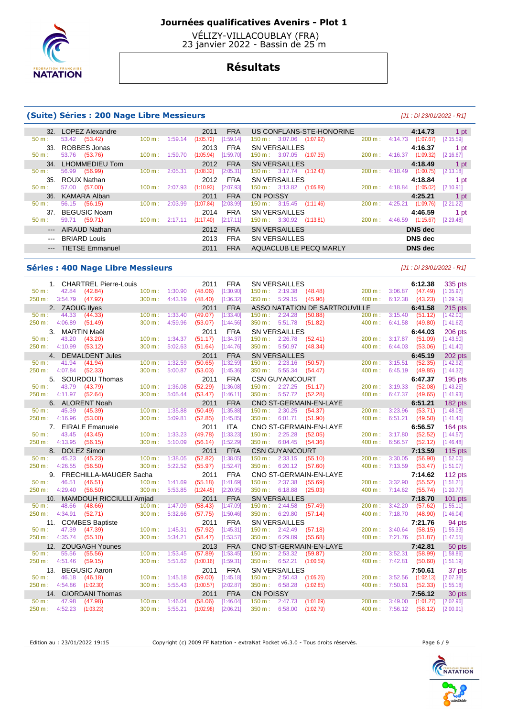

 VÉLIZY-VILLACOUBLAY (FRA) 23 janvier 2022 - Bassin de 25 m

# **Résultats**

## **(Suite) Séries : 200 Nage Libre Messieurs** [J1 : Di 23/01/2022 - R1]

|       | 32. LOPEZ Alexandre |                   |         | 2011      | <b>FRA</b>  | US CONFLANS-STE-HONORINE              |                          | 4:14.73              | 1 pt      |
|-------|---------------------|-------------------|---------|-----------|-------------|---------------------------------------|--------------------------|----------------------|-----------|
| 50 m: | 53.42 (53.42)       | $100 \text{ m}$ : | 1:59.14 | (1:05.72) | [1:59.14]   | $150 \text{ m}: 3:07.06$ $(1:07.92)$  | 200 m:                   | (1:07.67)<br>4:14.73 | [2:15.59] |
| 33.   | ROBBES Jonas        |                   |         | 2013      | <b>FRA</b>  | <b>SN VERSAILLES</b>                  |                          | 4:16.37              | 1 pt      |
| 50 m: | 53.76 (53.76)       | $100 \text{ m}$ : | 1:59.70 | (1:05.94) | [1:59.70]   | $150 \text{ m}: 3:07.05$ $(1:07.35)$  | 200 m :                  | 4:16.37<br>(1:09.32) | [2:16.67] |
|       | 34. LHOMMEDIEU Tom  |                   |         | 2012      | <b>FRA</b>  | <b>SN VERSAILLES</b>                  |                          | 4:18.49              | 1 pt      |
| 50 m: | 56.99<br>(56.99)    | $100 \text{ m}$ : | 2:05.31 | (1:08.32) | [2:05.31]   | $150 \text{ m}: 3:17.74$ $(1:12.43)$  | 200 m :                  | 4:18.49<br>(1:00.75) | [2:13.18] |
|       | 35. ROUX Nathan     |                   |         | 2012      | <b>FRA</b>  | <b>SN VERSAILLES</b>                  |                          | 4:18.84              | 1 pt      |
| 50 m: | 57.00 (57.00)       | $100 \text{ m}$ : | 2:07.93 | (1:10.93) | $[2:07.93]$ | $150 \text{ m}: 3:13.82$ $(1:05.89)$  | $200 \text{ m}: 4:18.84$ | (1:05.02)            | [2:10.91] |
|       | 36. KAMARA Alban    |                   |         |           | <b>FRA</b>  | CN POISSY                             |                          |                      |           |
|       |                     |                   |         | 2011      |             |                                       |                          | 4:25.21              | 1 pt      |
| 50 m: | 56.15 (56.15)       | 100 m:            | 2:03.99 | (1:07.84) | [2:03.99]   | $150 \text{ m}: 3:15.45$<br>(1:11.46) | 200 m:                   | 4:25.21<br>(1:09.76) | [2:21.22] |
| 37.   | <b>BEGUSIC Noam</b> |                   |         | 2014      | <b>FRA</b>  | <b>SN VERSAILLES</b>                  |                          | 4:46.59              | 1 pt      |
| 50 m: | 59.71 (59.71)       | $100 \text{ m}$ : | 2:17.11 | (1:17.40) | [2:17.11]   | $150 \text{ m}: 3:30.92$ (1:13.81)    | 200 m :                  | 4:46.59<br>(1:15.67) | [2:29.48] |
|       | --- AIRAUD Nathan   |                   |         | 2012      | <b>FRA</b>  | <b>SN VERSAILLES</b>                  |                          | DNS dec              |           |
|       | --- BRIARD Louis    |                   |         | 2013      | <b>FRA</b>  | <b>SN VERSAILLES</b>                  |                          | DNS dec              |           |
|       | --- TIETSE Emmanuel |                   |         | 2011      | <b>FRA</b>  | AQUACLUB LE PECO MARLY                |                          | DNS dec              |           |

## **Séries : 400 Nage Libre Messieurs** [J1 : Di 23/01/2022 - R1]

|                  |                        | 1. CHARTREL Pierre-Louis      |                                |                    | 2011                 | <b>FRA</b>             | <b>SN VERSAILLES</b>                           |                               |                           |                           | 6:12.38              | 335 pts                |
|------------------|------------------------|-------------------------------|--------------------------------|--------------------|----------------------|------------------------|------------------------------------------------|-------------------------------|---------------------------|---------------------------|----------------------|------------------------|
| $50 m$ :         | 42.84                  | (42.84)                       | $100 \text{ m}$ : $1:30.90$    |                    | (48.06)              | [1:30.90]              | $150 \text{ m}: 2:19.38$                       | (48.48)                       |                           | 200 m: 3:06.87 (47.49)    |                      | [1:35.97]              |
|                  | 250 m: 3:54.79 (47.92) |                               | 300 m:                         | 4:43.19            | (48.40)              | [1:36.32]              | 350 m: 5:29.15 (45.96)                         |                               | $400 \text{ m}$ : 6:12.38 |                           | (43.23)              | [1:29.19]              |
|                  | 2. ZAOUG llyes         | <u>da ya Tanzania ya Tsan</u> |                                |                    | 2011                 | <b>FRA</b>             |                                                | ASSO NATATION DE SARTROUVILLE |                           |                           | 6:41.58              | 215 pts                |
| $50 m$ :         | 44.33                  | (44.33)                       | $100 \text{ m}$ : 1:33.40      |                    | (49.07)              | [1:33.40]              | 150 m : 2:24.28                                | (50.88)                       |                           | 200 m: 3:15.40            | (51.12)              | [1:42.00]              |
| 250 m: 4:06.89   |                        | (51.49)                       | 300 m:                         | 4:59.96            | (53.07)              | [1:44.56]              | 350 m: 5:51.78                                 | (51.82)                       | 400 m:                    | 6:41.58                   | (49.80)              | [1:41.62]              |
|                  | 3. MARTIN Maël         |                               |                                |                    | 2011                 | <b>FRA</b>             | <b>SN VERSAILLES</b>                           |                               |                           |                           | 6:44.03              | 206 pts                |
| 50 m:            | 43.20                  | (43.20)                       | $100 m$ :                      | 1:34.37            | (51.17)              | [1:34.37]              | $150 \text{ m}: 2:26.78$ (52.41)               |                               | 200 m:                    | 3:17.87                   | (51.09)              | [1:43.50]              |
| 250 m: 4:10.99   |                        | (53.12)                       | 300 m:                         | 5:02.63            | (51.64)              | [1:44.76]              | 350 m: 5:50.97 (48.34)                         |                               | 400 m: 6:44.03            |                           | (53.06)              | [1:41.40]              |
|                  |                        | 4. DEMALDENT Jules            |                                |                    | 2011                 | <b>FRA</b>             | <b>SN VERSAILLES</b>                           |                               |                           |                           | 6:45.19              | 202 pts                |
| $50 m$ :         | 41.94                  | (41.94)                       | $100 m$ :                      | 1:32.59            | (50.65)              | [1:32.59]              | $150 \text{ m}: 2:23.16$                       | (50.57)                       | 200 m:                    | 3:15.51                   | (52.35)              | [1:42.92]              |
| 250 m : 4:07.84  |                        | (52.33)                       | 300 m:                         | 5:00.87            | (53.03)              | [1:45.36]              | 350 m : 5:55.34                                | (54.47)                       | 400 m:                    | 6:45.19                   | (49.85)              | [1:44.32]              |
|                  |                        | 5. SOURDOU Thomas             |                                |                    | 2011                 | <b>FRA</b>             | <b>CSN GUYANCOURT</b>                          |                               |                           |                           | 6:47.37              | 195 pts                |
| $50 m$ :         | 43.79                  | (43.79)                       | 100 m: 1:36.08                 |                    | (52.29)              | [1:36.08]              | 150 m: 2:27.25                                 | (51.17)                       |                           | 200 m: 3:19.33            | (52.08)              | [1:43.25]              |
| 250 m: 4:11.97   |                        | (52.64)                       | 300 m:                         | 5:05.44            | (53.47)              | [1:46.11]              | 350 m: 5:57.72 (52.28)                         |                               |                           | 400 m: 6:47.37            | (49.65)              | [1:41.93]              |
|                  |                        | 6. ALORENT Noah               |                                |                    | 2011                 | <b>FRA</b>             |                                                | CNO ST-GERMAIN-EN-LAYE        |                           |                           | 6:51.21              | 182 pts                |
| 50 m:            | 45.39                  | (45.39)                       | $100 \text{ m}$ :              | 1:35.88            | (50.49)              | [1:35.88]              | $150 \text{ m}: 2:30.25$                       | (54.37)                       | 200 m:                    | 3:23.96                   | (53.71)              | [1:48.08]              |
| 250 m: 4:16.96   |                        | (53.00)                       | 300 m:                         | 5:09.81            | (52.85)              | [1:45.85]              | 350 m: 6:01.71 (51.90)                         |                               |                           | 400 m: 6:51.21            | (49.50)              | [1:41.40]              |
|                  |                        | 7. EIRALE Emanuele            |                                |                    | 2011                 | <b>ITA</b>             |                                                | CNO ST-GERMAIN-EN-LAYE        |                           |                           | 6:56.57              | 164 pts                |
| $50 m$ :         | 43.45                  | (43.45)                       | 100 m:                         | 1:33.23            | (49.78)              | [1:33.23]              | 150 m: 2:25.28                                 | (52.05)                       | 200 m:                    | 3:17.80                   | (52.52)              | [1:44.57]              |
| 250 m: 4:13.95   |                        | (56.15)                       | 300 m:                         | 5:10.09            | (56.14)              | [1:52.29]              | 350 m: 6:04.45                                 | (54.36)                       | 400 m:                    | 6:56.57                   | (52.12)              | [1:46.48]              |
|                  |                        |                               |                                |                    |                      |                        |                                                |                               |                           |                           |                      |                        |
|                  | 8. DOLEZ Simon         |                               |                                |                    | 2011                 | <b>FRA</b>             | <b>CSN GUYANCOURT</b>                          |                               |                           |                           | 7:13.59              | <b>115 pts</b>         |
| 50 m:            | 45.23                  | (45.23)                       | 100 m: 1:38.05                 |                    | (52.82)              | [1:38.05]              | 2:33.15<br>150 m:                              | (55.10)                       | 200 m:                    | 3:30.05                   | (56.90)              | [1:52.00]              |
| 250 m: 4:26.55   |                        | (56.50)                       | 300 m:                         | 5:22.52            | (55.97)              | [1:52.47]              | 350 m: 6:20.12 (57.60)                         |                               | 400 m:                    | 7:13.59                   | (53.47)              | [1:51.07]              |
|                  |                        | 9. FRECHILLA-MAUGER Sacha     |                                |                    | 2011                 | <b>FRA</b>             |                                                | CNO ST-GERMAIN-EN-LAYE        |                           |                           | 7:14.62              | 112 pts                |
| 50 m:            | 46.51                  | (46.51)                       | 100 m:                         | 1:41.69            | (55.18)              | [1:41.69]              | 150 m: 2:37.38                                 | (55.69)                       | 200 m:                    | 3:32.90                   | (55.52)              | [1:51.21]              |
| 250 m: 4:29.40   |                        | (56.50)                       | 300 m: 5:53.85                 |                    | (1:24.45)            | [2:20.95]              | 350 m: 6:18.88                                 | (25.03)                       |                           | $400 \text{ m}: 7:14.62$  | (55.74)              | [1:20.77]              |
|                  |                        | 10. MAMDOUH RICCIULLI Amjad   |                                |                    | 2011                 | <b>FRA</b>             | <b>SN VERSAILLES</b>                           |                               |                           |                           | 7:18.70              | 101 pts                |
| $50 m$ :         | 48.66                  | (48.66)                       | 100 m: 1:47.09                 |                    | (58.43)              | [1:47.09]              | 150 m: 2:44.58                                 | (57.49)                       | 200 m:                    | 3:42.20                   | (57.62)              | [1:55.11]              |
| 250 m:           | 4:34.91                | (52.71)                       | 300 m:                         | 5:32.66            | (57.75)              | [1:50.46]              | 350 m: 6:29.80 (57.14)                         |                               | 400 m:                    | 7:18.70                   | (48.90)              | [1:46.04]              |
|                  |                        | 11. COMBES Baptiste           |                                |                    | 2011                 | <b>FRA</b>             | <b>SN VERSAILLES</b>                           |                               |                           |                           | 7:21.76              | 94 pts                 |
| $50 m$ :         | 47.39                  | (47.39)                       | $100 \text{ m}$ :              | 1:45.31            | (57.92)              | [1:45.31]              | 150 m : 2:42.49                                | (57.18)                       |                           | 200 m: 3:40.64            | (58.15)              | [1:55.33]              |
| 250 m :          | 4:35.74                | (55.10)                       | 300 m:                         | 5:34.21            | (58.47)              | [1:53.57]              | 350 m: 6:29.89                                 | (55.68)                       | 400 m:                    | 7:21.76                   | (51.87)              | [1:47.55]              |
|                  |                        | 12. ZOUGAGH Younes            |                                |                    | 2013                 | <b>FRA</b>             |                                                | CNO ST-GERMAIN-EN-LAYE        |                           |                           | 7:42.81              | 50 pts                 |
| 50 m:            | 55.56                  | (55.56)                       | $100 \text{ m}$ :              | 1:53.45            | (57.89)              | [1:53.45]              | 150 m:<br>2:53.32                              | (59.87)                       | 200 m:                    | 3:52.31                   | (58.99)              | [1:58.86]              |
| 250 m: 4:51.46   |                        | (59.15)                       | $300 \text{ m}$ :              | 5:51.62            | (1:00.16)            | [1:59.31]              | 350 m: 6:52.21                                 | (1:00.59)                     |                           | 400 m: 7:42.81            | (50.60)              | [1:51.19]              |
|                  |                        | 13. BEGUSIC Aaron             |                                |                    | 2011                 | <b>FRA</b>             | <b>SN VERSAILLES</b>                           |                               |                           |                           | 7:50.61              | 37 pts                 |
| $50 m$ :         | 46.18                  | (46.18)                       | $100 m$ :                      | 1:45.18            | (59.00)              | [1:45.18]              | 150 m: 2:50.43                                 | (1:05.25)                     | 200 m:                    | 3:52.56                   | (1:02.13)            | [2:07.38]              |
| 250 m :          | 4:54.86                | (1:02.30)                     | 300 m:                         | 5:55.43            | (1:00.57)            | [2:02.87]              | 350 m:<br>6:58.28                              | (1:02.85)                     | 400 m:                    | 7:50.61                   | (52.33)              | [1:55.18]              |
|                  |                        | 14. GIORDANI Thomas           |                                |                    | 2011                 | <b>FRA</b>             | <b>CN POISSY</b>                               |                               |                           |                           | 7:56.12              | 30 pts                 |
| 50 m:<br>250 m : | 47.98<br>4:52.23       | (47.98)<br>(1:03.23)          | $100 m$ :<br>$300 \text{ m}$ : | 1:46.04<br>5:55.21 | (58.06)<br>(1:02.98) | [1:46.04]<br>[2:06.21] | 2:47.73<br>$150 \text{ m}$ :<br>350 m: 6:58.00 | (1:01.69)<br>(1:02.79)        | 200 m:                    | 3:49.00<br>400 m: 7:56.12 | (1:01.27)<br>(58.12) | [2:02.96]<br>[2:00.91] |

Edition au : 23/01/2022 19:15 Copyright (c) 2009 FF Natation - extraNat Pocket v6.3.0 - Tous droits réservés. Page 6 / 9

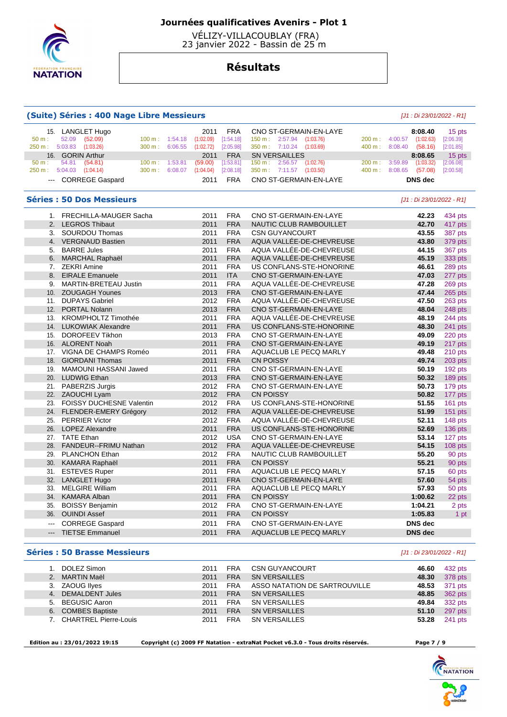

 VÉLIZY-VILLACOUBLAY (FRA) 23 janvier 2022 - Bassin de 25 m

## **Résultats**

#### **(Suite) Séries : 400 Nage Libre Messieurs** [J1 : Di 23/01/2022 - R1] 15. LANGLET Hugo 2011 FRA CNO ST-GERMAIN-EN-LAYE **8:08.40** 15 pts 50 m : 52.09 (52.09) 100 m : 1:54.18 (1:02.09) [1:54.18] 150 m : 2:57.94 (1:03.76) 200 m : 4:00.57 (1:02.63) [2:06.39] 250 m : 5:03.83 (1:03.26) 300 m : 6:06.55 (1:02.72) [2:05.98] 350 m : 7:10.24 (1:03.69) 400 m : 8:08.40 (58.16) [2:01.85] 16. GORIN Arthur 2011 FRA SN VERSAILLES **8:08.65** 15 pts 50 m : 54.81 (54.81) 100 m : 1:53.81 (59.00) [1:53.81] 150 m : 2:56.57 (1:02.76) 200 m : 3:59.89 (1:03.32) [2:06.08] 250 m : 5:04.03 (1:04.14) 300 m : 6:08.07 (1:04.04) [2:08.18] 350 m : 7:11.57 (1:03.50) 400 m : 8:08.65 (57.08) [2:00.58] --- CORREGE Gaspard 2011 FRA CNO ST-GERMAIN-EN-LAYE **DNS dec Séries : 50 Dos Messieurs** [J1 : Di 23/01/2022 - R1] 1. FRECHILLA-MAUGER Sacha 2011 FRA CNO ST-GERMAIN-EN-LAYE **42.23** 434 pts 2. LEGROS Thibaut 2011 FRA NAUTIC CLUB RAMBOUILLET **42.70** 417 pts 3. SOURDOU Thomas 2011 FRA CSN GUYANCOURT **43.55** 387 pts 4. VERGNAUD Bastien 2011 FRA AQUA VALLÉE-DE-CHEVREUSE **43.80** 379 pts 5. BARRE Jules 2011 FRA AQUA VALLÉE-DE-CHEVREUSE **44.15** 367 pts 6. MARCHAL Raphaël 2011 FRA AQUA VALLÉE-DE-CHEVREUSE **45.19** 333 pts 7. ZEKRI Amine 2011 FRA US CONFLANS-STE-HONORINE **46.61** 289 pts 8. EIRALE Emanuele 2011 ITA CNO ST-GERMAIN-EN-LAYE 9. MARTIN-BRETEAU Justin 2011 FRA AQUA VALLÉE-DE-CHEVREUSE **47.28** 269 pts 10. ZOUGAGH Younes 2013 FRA CNO ST-GERMAIN-EN-LAYE **47.44** 265 pts 11. DUPAYS Gabriel 2012 FRA AQUA VALLÉE-DE-CHEVREUSE **47.50** 263 pts 12. PORTAL Nolann 2013 FRA CNO ST-GERMAIN-EN-LAYE **48.04** 248 pts 13. KROMPHOLTZ Timothée 2011 FRA AQUA VALLÉE-DE-CHEVREUSE **48.19** 244 pts 14. LUKOWIAK Alexandre 2011 FRA US CONFLANS-STE-HONORINE **48.30** 241 pts 15. DOROFEEV Tikhon 2013 FRA CNO ST-GERMAIN-EN-LAYE **49.09** 220 pts 16. ALORENT Noah 2011 FRA CNO ST-GERMAIN-EN-LAYE **49.19** 217 pts 17. VIGNA DE CHAMPS Roméo 2011 FRA AQUACLUB LE PECQ MARLY **49.48** 210 pts 18. GIORDANI Thomas 2011 FRA CN POISSY **49.74** 203 pts 19. MAMOUNI HASSANI Jawed 2011 FRA CNO ST-GERMAIN-EN-LAYE **50.19** 192 pts 20. LUDWIG Ethan 2013 FRA CNO ST-GERMAIN-EN-LAYE **50.32** 189 pts 21. PABERZIS Jurgis 2012 FRA CNO ST-GERMAIN-EN-LAYE **50.73** 179 pts 22. ZAOUCHI Lyam 2012 FRA CN POISSY **50.82** 177 pts 23. FOISSY DUCHESNE Valentin 2012 FRA US CONFLANS-STE-HONORINE **51.55** 161 pts 24. FLENDER-EMERY Grégory 2012 FRA AQUA VALLÉE-DE-CHEVREUSE **51.99** 151 pts 25. PERRIER Victor 2012 FRA AQUA VALLÉE-DE-CHEVREUSE **52.11** 148 pts 26. LOPEZ Alexandre 2011 FRA US CONFLANS-STE-HONORINE **52.69** 136 pts 27. TATE Ethan 2012 USA CNO ST-GERMAIN-EN-LAYE **53.14** 127 pts 28. FANDEUR--FRIMU Nathan 2012 FRA AQUA VALLÉE-DE-CHEVREUSE **54.15** 108 pts 29. PLANCHON Ethan 2012 FRA NAUTIC CLUB RAMBOUILLET **55.20** 90 pts 30. KAMARA Raphaël 2011 FRA CN POISSY **55.21** 90 pts 31. ESTEVES Ruper 2011 FRA AQUACLUB LE PECQ MARLY **57.15** 60 pts 32. LANGLET Hugo 2011 FRA CNO ST-GERMAIN-EN-LAYE **57.60** 54 pts 33. MELGIRE William 2011 FRA AQUACLUB LE PECQ MARLY **57.93** 50 pts 34. KAMARA Alban 2011 FRA CN POISSY **1:00.62** 22 pts 35. BOISSY Benjamin 2012 FRA CNO ST-GERMAIN-EN-LAYE **1:04.21** 2 pts 36. OUINDI Assef 2011 FRA CN POISSY **1:05.83** 1 pt --- CORREGE Gaspard 2011 FRA CNO ST-GERMAIN-EN-LAYE **DNS dec**  --- TIETSE Emmanuel 2011 FRA AQUACLUB LE PECQ MARLY **DNS dec Séries : 50 Brasse Messieurs** [J1 : Di 23/01/2022 - R1]

| DOLEZ Simon              | 2011 | <b>FRA</b> | <b>CSN GUYANCOURT</b>         | 46.60 | 432 pts |
|--------------------------|------|------------|-------------------------------|-------|---------|
| 2. MARTIN Maël           | 2011 | <b>FRA</b> | SN VERSAILLES                 | 48.30 | 378 pts |
| 3. ZAOUG lives           | 2011 | <b>FRA</b> | ASSO NATATION DE SARTROUVILLE | 48.53 | 371 pts |
| 4. DEMALDENT Jules       | 2011 | <b>FRA</b> | <b>SN VERSAILLES</b>          | 48.85 | 362 pts |
| 5. BEGUSIC Aaron         | 2011 | <b>FRA</b> | SN VERSAILLES                 | 49.84 | 332 pts |
| 6. COMBES Baptiste       | 2011 | <b>FRA</b> | <b>SN VERSAILLES</b>          | 51.10 | 297 pts |
| 7. CHARTREL Pierre-Louis | 2011 | <b>FRA</b> | SN VERSAILLES                 | 53.28 | 241 pts |

 **Edition au : 23/01/2022 19:15 Copyright (c) 2009 FF Natation - extraNat Pocket v6.3.0 - Tous droits réservés. Page 7 / 9** 

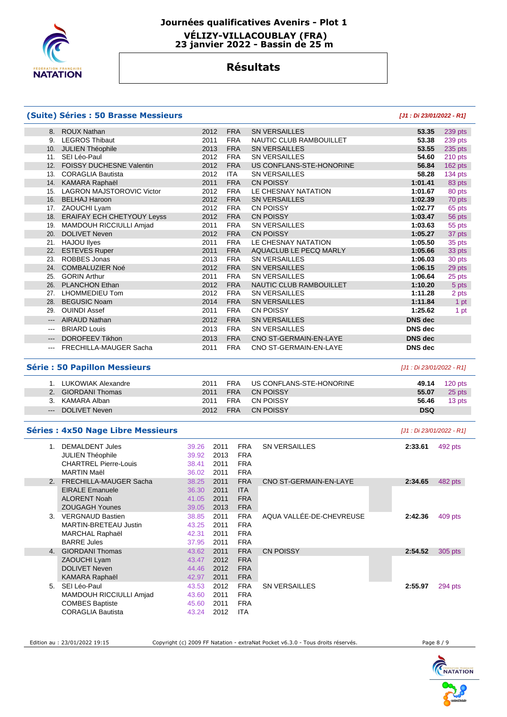

# **Journées qualificatives Avenirs - Plot 1 VÉLIZY-VILLACOUBLAY (FRA)**

 **23 janvier 2022 - Bassin de 25 m** 

# **Résultats**

### **(Suite) Séries : 50 Brasse Messieurs [J1 : Di 23/01/2022 - R1]**

|                         | 8. ROUX Nathan                   | 2012 | <b>FRA</b> | <b>SN VERSAILLES</b>     | 53.35          | 239 pts |
|-------------------------|----------------------------------|------|------------|--------------------------|----------------|---------|
| 9.                      | <b>LEGROS Thibaut</b>            | 2011 | <b>FRA</b> | NAUTIC CLUB RAMBOUILLET  | 53.38          | 239 pts |
| 10.                     | <b>JULIEN Théophile</b>          | 2013 | <b>FRA</b> | <b>SN VERSAILLES</b>     | 53.55          | 235 pts |
| 11.                     | SEI Léo-Paul                     | 2012 | <b>FRA</b> | <b>SN VERSAILLES</b>     | 54.60          | 210 pts |
| 12.                     | FOISSY DUCHESNE Valentin         | 2012 | <b>FRA</b> | US CONFLANS-STE-HONORINE | 56.84          | 162 pts |
| 13.                     | <b>CORAGLIA Bautista</b>         | 2012 | ITA.       | <b>SN VERSAILLES</b>     | 58.28          | 134 pts |
| 14.                     | KAMARA Raphaël                   | 2011 | <b>FRA</b> | <b>CN POISSY</b>         | 1:01.41        | 83 pts  |
| 15.                     | <b>LAGRON MAJSTOROVIC Victor</b> | 2012 | <b>FRA</b> | LE CHESNAY NATATION      | 1:01.67        | 80 pts  |
| 16.                     | <b>BELHAJ Haroon</b>             | 2012 | <b>FRA</b> | <b>SN VERSAILLES</b>     | 1:02.39        | 70 pts  |
| 17.                     | ZAOUCHI Lyam                     | 2012 | <b>FRA</b> | <b>CN POISSY</b>         | 1:02.77        | 65 pts  |
| 18.                     | ERAIFAY ECH CHETYOUY Leyss       | 2012 | <b>FRA</b> | <b>CN POISSY</b>         | 1:03.47        | 56 pts  |
| 19.                     | MAMDOUH RICCIULLI Amjad          | 2011 | <b>FRA</b> | <b>SN VERSAILLES</b>     | 1:03.63        | 55 pts  |
| 20.                     | <b>DOLIVET Neven</b>             | 2012 | <b>FRA</b> | <b>CN POISSY</b>         | 1:05.27        | 37 pts  |
| 21.                     | <b>HAJOU llyes</b>               | 2011 | <b>FRA</b> | LE CHESNAY NATATION      | 1:05.50        | 35 pts  |
| 22.                     | <b>ESTEVES Ruper</b>             | 2011 | <b>FRA</b> | AQUACLUB LE PECQ MARLY   | 1:05.66        | 33 pts  |
| 23.                     | ROBBES Jonas                     | 2013 | <b>FRA</b> | <b>SN VERSAILLES</b>     | 1:06.03        | 30 pts  |
| 24.                     | <b>COMBALUZIER Noé</b>           | 2012 | <b>FRA</b> | <b>SN VERSAILLES</b>     | 1:06.15        | 29 pts  |
| 25.                     | <b>GORIN Arthur</b>              | 2011 | <b>FRA</b> | <b>SN VERSAILLES</b>     | 1:06.64        | 25 pts  |
| 26.                     | <b>PLANCHON Ethan</b>            | 2012 | <b>FRA</b> | NAUTIC CLUB RAMBOUILLET  | 1:10.20        | 5 pts   |
| 27.                     | LHOMMEDIEU Tom                   | 2012 | <b>FRA</b> | <b>SN VERSAILLES</b>     | 1:11.28        | 2 pts   |
| 28.                     | <b>BEGUSIC Noam</b>              | 2014 | <b>FRA</b> | <b>SN VERSAILLES</b>     | 1:11.84        | 1 pt    |
| 29.                     | <b>OUINDI Assef</b>              | 2011 | <b>FRA</b> | <b>CN POISSY</b>         | 1:25.62        | 1 pt    |
| $\qquad \qquad -\qquad$ | AIRAUD Nathan                    | 2012 | <b>FRA</b> | <b>SN VERSAILLES</b>     | <b>DNS</b> dec |         |
| $\qquad \qquad -$       | <b>BRIARD Louis</b>              | 2013 | <b>FRA</b> | <b>SN VERSAILLES</b>     | DNS dec        |         |
| $---$                   | <b>DOROFEEV Tikhon</b>           | 2013 | <b>FRA</b> | CNO ST-GERMAIN-EN-LAYE   | <b>DNS</b> dec |         |
|                         | FRECHILLA-MAUGER Sacha           | 2011 | <b>FRA</b> | CNO ST-GERMAIN-EN-LAYE   | <b>DNS</b> dec |         |

## **Série : 50 Papillon Messieurs** [J1 : Di 23/01/2022 - R1]

| 1. LUKOWIAK Alexandre | 2011 | FRA        | US CONFLANS-STE-HONORINE | 49.14      | 120 pts |
|-----------------------|------|------------|--------------------------|------------|---------|
| 2. GIORDANI Thomas    | 2011 | FRA        | CN POISSY                | 55.07      | 25 pts  |
| 3. KAMARA Alban       | 2011 | FRA        | CN POISSY                | 56.46      | 13 pts  |
| --- DOLIVET Neven     | 2012 | <b>FRA</b> | CN POISSY                | <b>DSQ</b> |         |

## **Séries : 4x50 Nage Libre Messieurs** [J1 : Di 23/01/2022 - R1]

| 1.             | <b>DEMALDENT Jules</b><br><b>JULIEN Théophile</b><br><b>CHARTREL Pierre-Louis</b><br><b>MARTIN Maël</b> | 39.26<br>39.92<br>38.41<br>36.02 | 2011<br>2013<br>2011<br>2011 | <b>FRA</b><br><b>FRA</b><br><b>FRA</b><br><b>FRA</b> | <b>SN VERSAILLES</b>     | 2:33.61 | 492 pts |
|----------------|---------------------------------------------------------------------------------------------------------|----------------------------------|------------------------------|------------------------------------------------------|--------------------------|---------|---------|
| $\mathcal{P}$  | FRECHILLA-MAUGER Sacha                                                                                  | 38.25                            | 2011                         | <b>FRA</b>                                           | CNO ST-GERMAIN-EN-LAYE   | 2:34.65 | 482 pts |
|                | <b>EIRALE Emanuele</b>                                                                                  | 36.30                            | 2011                         | <b>ITA</b>                                           |                          |         |         |
|                | <b>ALORENT Noah</b>                                                                                     | 41.05                            | 2011                         | <b>FRA</b>                                           |                          |         |         |
|                | <b>ZOUGAGH Younes</b>                                                                                   | 39.05                            | 2013                         | <b>FRA</b>                                           |                          |         |         |
| $\mathbf{3}$   | <b>VERGNAUD Bastien</b>                                                                                 | 38.85                            | 2011                         | <b>FRA</b>                                           | AQUA VALLÉE-DE-CHEVREUSE | 2:42.36 | 409 pts |
|                | MARTIN-BRETEAU Justin                                                                                   | 43.25                            | 2011                         | <b>FRA</b>                                           |                          |         |         |
|                | <b>MARCHAL Raphaël</b>                                                                                  | 42.31                            | 2011                         | <b>FRA</b>                                           |                          |         |         |
|                | <b>BARRE Jules</b>                                                                                      | 37.95                            | 2011                         | <b>FRA</b>                                           |                          |         |         |
| 4 <sup>1</sup> | <b>GIORDANI Thomas</b>                                                                                  | 43.62                            | 2011                         | <b>FRA</b>                                           | <b>CN POISSY</b>         | 2:54.52 | 305 pts |
|                | ZAOUCHI Lyam                                                                                            | 43.47                            | 2012                         | <b>FRA</b>                                           |                          |         |         |
|                | <b>DOLIVET Neven</b>                                                                                    | 44.46                            | 2012                         | <b>FRA</b>                                           |                          |         |         |
|                | <b>KAMARA Raphaël</b>                                                                                   | 42.97                            | 2011                         | <b>FRA</b>                                           |                          |         |         |
| 5.             | SEI Léo-Paul                                                                                            | 43.53                            | 2012                         | <b>FRA</b>                                           | <b>SN VERSAILLES</b>     | 2:55.97 | 294 pts |
|                | MAMDOUH RICCIULLI Amjad                                                                                 | 43.60                            | 2011                         | <b>FRA</b>                                           |                          |         |         |
|                | <b>COMBES Baptiste</b>                                                                                  | 45.60                            | 2011                         | <b>FRA</b>                                           |                          |         |         |
|                | <b>CORAGLIA Bautista</b>                                                                                | 43.24                            | 2012                         | <b>ITA</b>                                           |                          |         |         |
|                |                                                                                                         |                                  |                              |                                                      |                          |         |         |